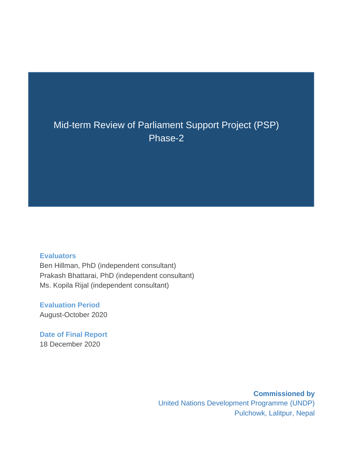### Mid-term Review of Parliament Support Project (PSP) Phase-2

#### **Evaluators**

Ben Hillman, PhD (independent consultant) Prakash Bhattarai, PhD (independent consultant) Ms. Kopila Rijal (independent consultant)

**Evaluation Period** August-October 2020

**Date of Final Report**  18 December 2020

> **Commissioned by** United Nations Development Programme (UNDP) Pulchowk, Lalitpur, Nepal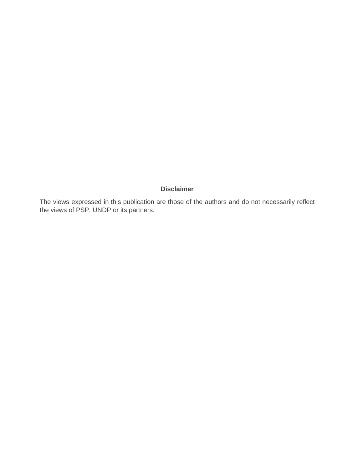#### **Disclaimer**

The views expressed in this publication are those of the authors and do not necessarily reflect the views of PSP, UNDP or its partners.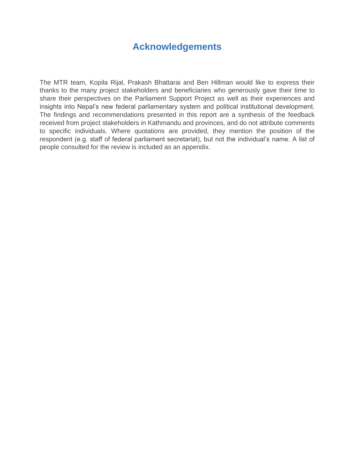### **Acknowledgements**

<span id="page-2-0"></span>The MTR team, Kopila Rijal, Prakash Bhattarai and Ben Hillman would like to express their thanks to the many project stakeholders and beneficiaries who generously gave their time to share their perspectives on the Parliament Support Project as well as their experiences and insights into Nepal's new federal parliamentary system and political institutional development. The findings and recommendations presented in this report are a synthesis of the feedback received from project stakeholders in Kathmandu and provinces, and do not attribute comments to specific individuals. Where quotations are provided, they mention the position of the respondent (e.g. staff of federal parliament secretariat), but not the individual's name. A list of people consulted for the review is included as an appendix.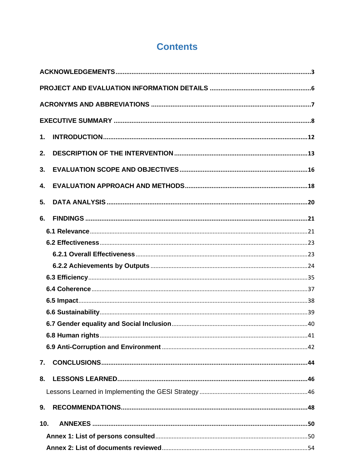## **Contents**

| 1.  |  |
|-----|--|
| 2.  |  |
| 3.  |  |
| 4.  |  |
| 5.  |  |
| 6.  |  |
|     |  |
|     |  |
|     |  |
|     |  |
|     |  |
|     |  |
|     |  |
|     |  |
|     |  |
|     |  |
|     |  |
| 7.  |  |
| 8.  |  |
|     |  |
| 9.  |  |
| 10. |  |
|     |  |
|     |  |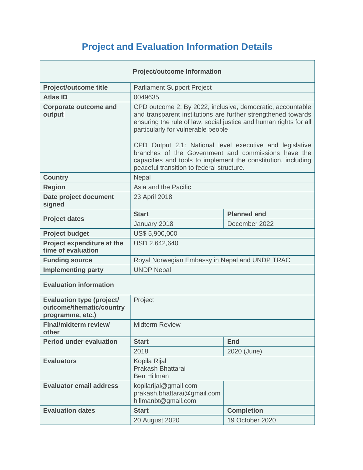# **Project and Evaluation Information Details**

<span id="page-5-0"></span>

|                                                                                  | <b>Project/outcome Information</b>                                                                                                                                                                                                                                                                                                                        |                   |  |  |  |
|----------------------------------------------------------------------------------|-----------------------------------------------------------------------------------------------------------------------------------------------------------------------------------------------------------------------------------------------------------------------------------------------------------------------------------------------------------|-------------------|--|--|--|
| <b>Project/outcome title</b>                                                     | <b>Parliament Support Project</b>                                                                                                                                                                                                                                                                                                                         |                   |  |  |  |
| <b>Atlas ID</b>                                                                  | 0049635                                                                                                                                                                                                                                                                                                                                                   |                   |  |  |  |
| <b>Corporate outcome and</b><br>output                                           | CPD outcome 2: By 2022, inclusive, democratic, accountable<br>and transparent institutions are further strengthened towards<br>ensuring the rule of law, social justice and human rights for all<br>particularly for vulnerable people<br>CPD Output 2.1: National level executive and legislative<br>branches of the Government and commissions have the |                   |  |  |  |
|                                                                                  | capacities and tools to implement the constitution, including<br>peaceful transition to federal structure.                                                                                                                                                                                                                                                |                   |  |  |  |
| <b>Country</b>                                                                   | Nepal                                                                                                                                                                                                                                                                                                                                                     |                   |  |  |  |
| <b>Region</b>                                                                    | Asia and the Pacific                                                                                                                                                                                                                                                                                                                                      |                   |  |  |  |
| Date project document<br>signed                                                  | 23 April 2018                                                                                                                                                                                                                                                                                                                                             |                   |  |  |  |
|                                                                                  | <b>Planned end</b><br><b>Start</b>                                                                                                                                                                                                                                                                                                                        |                   |  |  |  |
| <b>Project dates</b>                                                             | January 2018                                                                                                                                                                                                                                                                                                                                              | December 2022     |  |  |  |
| <b>Project budget</b>                                                            | US\$ 5,900,000                                                                                                                                                                                                                                                                                                                                            |                   |  |  |  |
| Project expenditure at the<br>time of evaluation                                 | USD 2,642,640                                                                                                                                                                                                                                                                                                                                             |                   |  |  |  |
| <b>Funding source</b>                                                            | Royal Norwegian Embassy in Nepal and UNDP TRAC                                                                                                                                                                                                                                                                                                            |                   |  |  |  |
| <b>Implementing party</b>                                                        | <b>UNDP Nepal</b>                                                                                                                                                                                                                                                                                                                                         |                   |  |  |  |
| <b>Evaluation information</b>                                                    |                                                                                                                                                                                                                                                                                                                                                           |                   |  |  |  |
| <b>Evaluation type (project/</b><br>outcome/thematic/country<br>programme, etc.) | Project                                                                                                                                                                                                                                                                                                                                                   |                   |  |  |  |
| Final/midterm review/<br>other                                                   | <b>Midterm Review</b>                                                                                                                                                                                                                                                                                                                                     |                   |  |  |  |
| <b>Period under evaluation</b>                                                   | <b>Start</b>                                                                                                                                                                                                                                                                                                                                              | <b>End</b>        |  |  |  |
|                                                                                  | 2018                                                                                                                                                                                                                                                                                                                                                      | 2020 (June)       |  |  |  |
| <b>Evaluators</b>                                                                | Kopila Rijal<br>Prakash Bhattarai<br><b>Ben Hillman</b>                                                                                                                                                                                                                                                                                                   |                   |  |  |  |
| <b>Evaluator email address</b>                                                   | kopilarijal@gmail.com<br>prakash.bhattarai@gmail.com<br>hillmanbt@gmail.com                                                                                                                                                                                                                                                                               |                   |  |  |  |
| <b>Evaluation dates</b>                                                          | <b>Start</b>                                                                                                                                                                                                                                                                                                                                              | <b>Completion</b> |  |  |  |
|                                                                                  | 20 August 2020                                                                                                                                                                                                                                                                                                                                            | 19 October 2020   |  |  |  |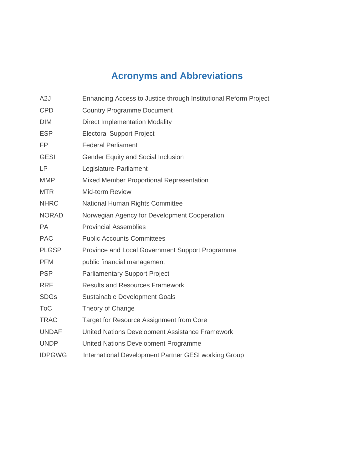# **Acronyms and Abbreviations**

<span id="page-6-0"></span>

| A2J           | Enhancing Access to Justice through Institutional Reform Project |
|---------------|------------------------------------------------------------------|
| <b>CPD</b>    | <b>Country Programme Document</b>                                |
| <b>DIM</b>    | <b>Direct Implementation Modality</b>                            |
| <b>ESP</b>    | <b>Electoral Support Project</b>                                 |
| <b>FP</b>     | <b>Federal Parliament</b>                                        |
| <b>GESI</b>   | <b>Gender Equity and Social Inclusion</b>                        |
| <b>LP</b>     | Legislature-Parliament                                           |
| <b>MMP</b>    | Mixed Member Proportional Representation                         |
| <b>MTR</b>    | <b>Mid-term Review</b>                                           |
| <b>NHRC</b>   | National Human Rights Committee                                  |
| <b>NORAD</b>  | Norwegian Agency for Development Cooperation                     |
| <b>PA</b>     | <b>Provincial Assemblies</b>                                     |
| <b>PAC</b>    | <b>Public Accounts Committees</b>                                |
| <b>PLGSP</b>  | Province and Local Government Support Programme                  |
| <b>PFM</b>    | public financial management                                      |
| <b>PSP</b>    | <b>Parliamentary Support Project</b>                             |
| <b>RRF</b>    | <b>Results and Resources Framework</b>                           |
| <b>SDGs</b>   | Sustainable Development Goals                                    |
| <b>ToC</b>    | Theory of Change                                                 |
| <b>TRAC</b>   | Target for Resource Assignment from Core                         |
| <b>UNDAF</b>  | United Nations Development Assistance Framework                  |
| <b>UNDP</b>   | United Nations Development Programme                             |
| <b>IDPGWG</b> | International Development Partner GESI working Group             |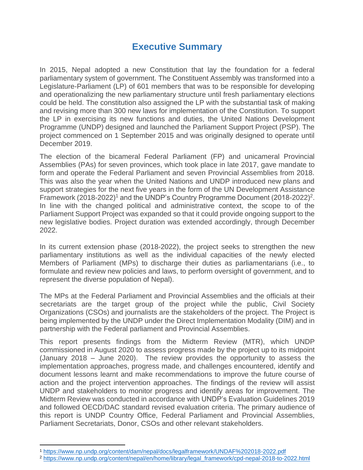### **Executive Summary**

<span id="page-7-0"></span>In 2015, Nepal adopted a new Constitution that lay the foundation for a federal parliamentary system of government. The Constituent Assembly was transformed into a Legislature-Parliament (LP) of 601 members that was to be responsible for developing and operationalizing the new parliamentary structure until fresh parliamentary elections could be held. The constitution also assigned the LP with the substantial task of making and revising more than 300 new laws for implementation of the Constitution. To support the LP in exercising its new functions and duties, the United Nations Development Programme (UNDP) designed and launched the Parliament Support Project (PSP). The project commenced on 1 September 2015 and was originally designed to operate until December 2019.

The election of the bicameral Federal Parliament (FP) and unicameral Provincial Assemblies (PAs) for seven provinces, which took place in late 2017, gave mandate to form and operate the Federal Parliament and seven Provincial Assemblies from 2018. This was also the year when the United Nations and UNDP introduced new plans and support strategies for the next five years in the form of the UN Development Assistance Framework (2018-2022)<sup>1</sup> and the UNDP's Country Programme Document (2018-2022)<sup>2</sup>. In line with the changed political and administrative context, the scope to of the Parliament Support Project was expanded so that it could provide ongoing support to the new legislative bodies. Project duration was extended accordingly, through December 2022.

In its current extension phase (2018-2022), the project seeks to strengthen the new parliamentary institutions as well as the individual capacities of the newly elected Members of Parliament (MPs) to discharge their duties as parliamentarians (i.e., to formulate and review new policies and laws, to perform oversight of government, and to represent the diverse population of Nepal).

The MPs at the Federal Parliament and Provincial Assemblies and the officials at their secretariats are the target group of the project while the public, Civil Society Organizations (CSOs) and journalists are the stakeholders of the project. The Project is being implemented by the UNDP under the Direct Implementation Modality (DIM) and in partnership with the Federal parliament and Provincial Assemblies.

This report presents findings from the Midterm Review (MTR), which UNDP commissioned in August 2020 to assess progress made by the project up to its midpoint (January 2018 – June 2020). The review provides the opportunity to assess the implementation approaches, progress made, and challenges encountered, identify and document lessons learnt and make recommendations to improve the future course of action and the project intervention approaches. The findings of the review will assist UNDP and stakeholders to monitor progress and identify areas for improvement. The Midterm Review was conducted in accordance with UNDP's Evaluation Guidelines 2019 and followed OECD/DAC standard revised evaluation criteria. The primary audience of this report is UNDP Country Office, Federal Parliament and Provincial Assemblies, Parliament Secretariats, Donor, CSOs and other relevant stakeholders.

<sup>1</sup> <https://www.np.undp.org/content/dam/nepal/docs/legalframework/UNDAF%202018-2022.pdf>

<sup>2</sup> [https://www.np.undp.org/content/nepal/en/home/library/legal\\_framework/cpd-nepal-2018-to-2022.html](https://www.np.undp.org/content/nepal/en/home/library/legal_framework/cpd-nepal-2018-to-2022.html)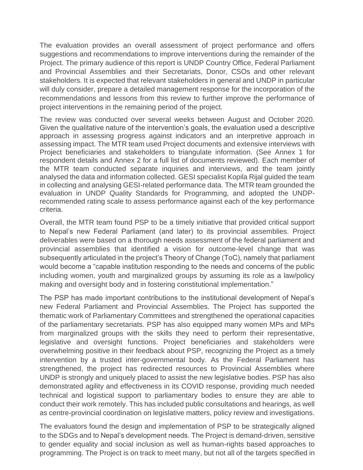The evaluation provides an overall assessment of project performance and offers suggestions and recommendations to improve interventions during the remainder of the Project. The primary audience of this report is UNDP Country Office, Federal Parliament and Provincial Assemblies and their Secretariats, Donor, CSOs and other relevant stakeholders. It is expected that relevant stakeholders in general and UNDP in particular will duly consider, prepare a detailed management response for the incorporation of the recommendations and lessons from this review to further improve the performance of project interventions in the remaining period of the project.

The review was conducted over several weeks between August and October 2020. Given the qualitative nature of the intervention's goals, the evaluation used a descriptive approach in assessing progress against indicators and an interpretive approach in assessing impact. The MTR team used Project documents and extensive interviews with Project beneficiaries and stakeholders to triangulate information. (See Annex 1 for respondent details and Annex 2 for a full list of documents reviewed). Each member of the MTR team conducted separate inquiries and interviews, and the team jointly analysed the data and information collected. GESI specialist Kopila Rijal guided the team in collecting and analysing GESI-related performance data. The MTR team grounded the evaluation in UNDP Quality Standards for Programming, and adopted the UNDPrecommended rating scale to assess performance against each of the key performance criteria.

Overall, the MTR team found PSP to be a timely initiative that provided critical support to Nepal's new Federal Parliament (and later) to its provincial assemblies. Project deliverables were based on a thorough needs assessment of the federal parliament and provincial assemblies that identified a vision for outcome-level change that was subsequently articulated in the project's Theory of Change (ToC), namely that parliament would become a "capable institution responding to the needs and concerns of the public including women, youth and marginalized groups by assuming its role as a law/policy making and oversight body and in fostering constitutional implementation."

The PSP has made important contributions to the institutional development of Nepal's new Federal Parliament and Provincial Assemblies. The Project has supported the thematic work of Parliamentary Committees and strengthened the operational capacities of the parliamentary secretariats. PSP has also equipped many women MPs and MPs from marginalized groups with the skills they need to perform their representative, legislative and oversight functions. Project beneficiaries and stakeholders were overwhelming positive in their feedback about PSP, recognizing the Project as a timely intervention by a trusted inter-governmental body. As the Federal Parliament has strengthened, the project has redirected resources to Provincial Assemblies where UNDP is strongly and uniquely placed to assist the new legislative bodies. PSP has also demonstrated agility and effectiveness in its COVID response, providing much needed technical and logistical support to parliamentary bodies to ensure they are able to conduct their work remotely. This has included public consultations and hearings, as well as centre-provincial coordination on legislative matters, policy review and investigations.

The evaluators found the design and implementation of PSP to be strategically aligned to the SDGs and to Nepal's development needs. The Project is demand-driven, sensitive to gender equality and social inclusion as well as human-rights based approaches to programming. The Project is on track to meet many, but not all of the targets specified in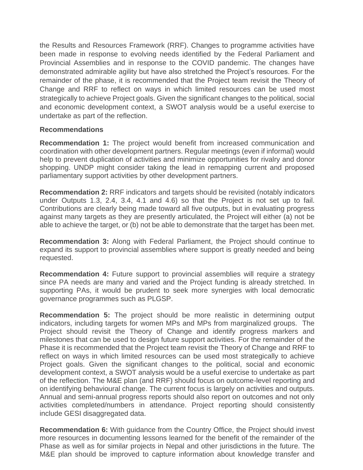the Results and Resources Framework (RRF). Changes to programme activities have been made in response to evolving needs identified by the Federal Parliament and Provincial Assemblies and in response to the COVID pandemic. The changes have demonstrated admirable agility but have also stretched the Project's resources. For the remainder of the phase, it is recommended that the Project team revisit the Theory of Change and RRF to reflect on ways in which limited resources can be used most strategically to achieve Project goals. Given the significant changes to the political, social and economic development context, a SWOT analysis would be a useful exercise to undertake as part of the reflection.

### **Recommendations**

**Recommendation 1:** The project would benefit from increased communication and coordination with other development partners. Regular meetings (even if informal) would help to prevent duplication of activities and minimize opportunities for rivalry and donor shopping. UNDP might consider taking the lead in remapping current and proposed parliamentary support activities by other development partners.

**Recommendation 2:** RRF indicators and targets should be revisited (notably indicators under Outputs 1.3, 2.4, 3.4, 4.1 and 4.6) so that the Project is not set up to fail. Contributions are clearly being made toward all five outputs, but in evaluating progress against many targets as they are presently articulated, the Project will either (a) not be able to achieve the target, or (b) not be able to demonstrate that the target has been met.

**Recommendation 3:** Along with Federal Parliament, the Project should continue to expand its support to provincial assemblies where support is greatly needed and being requested.

**Recommendation 4:** Future support to provincial assemblies will require a strategy since PA needs are many and varied and the Project funding is already stretched. In supporting PAs, it would be prudent to seek more synergies with local democratic governance programmes such as PLGSP.

**Recommendation 5:** The project should be more realistic in determining output indicators, including targets for women MPs and MPs from marginalized groups. The Project should revisit the Theory of Change and identify progress markers and milestones that can be used to design future support activities. For the remainder of the Phase it is recommended that the Project team revisit the Theory of Change and RRF to reflect on ways in which limited resources can be used most strategically to achieve Project goals. Given the significant changes to the political, social and economic development context, a SWOT analysis would be a useful exercise to undertake as part of the reflection. The M&E plan (and RRF) should focus on outcome-level reporting and on identifying behavioural change. The current focus is largely on activities and outputs. Annual and semi-annual progress reports should also report on outcomes and not only activities completed/numbers in attendance. Project reporting should consistently include GESI disaggregated data.

**Recommendation 6:** With guidance from the Country Office, the Project should invest more resources in documenting lessons learned for the benefit of the remainder of the Phase as well as for similar projects in Nepal and other jurisdictions in the future. The M&E plan should be improved to capture information about knowledge transfer and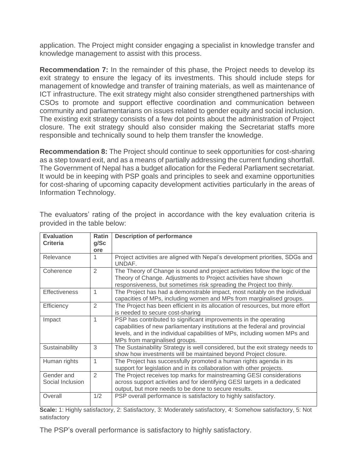application. The Project might consider engaging a specialist in knowledge transfer and knowledge management to assist with this process.

**Recommendation 7:** In the remainder of this phase, the Project needs to develop its exit strategy to ensure the legacy of its investments. This should include steps for management of knowledge and transfer of training materials, as well as maintenance of ICT infrastructure. The exit strategy might also consider strengthened partnerships with CSOs to promote and support effective coordination and communication between community and parliamentarians on issues related to gender equity and social inclusion. The existing exit strategy consists of a few dot points about the administration of Project closure. The exit strategy should also consider making the Secretariat staffs more responsible and technically sound to help them transfer the knowledge.

**Recommendation 8:** The Project should continue to seek opportunities for cost-sharing as a step toward exit, and as a means of partially addressing the current funding shortfall. The Government of Nepal has a budget allocation for the Federal Parliament secretariat. It would be in keeping with PSP goals and principles to seek and examine opportunities for cost-sharing of upcoming capacity development activities particularly in the areas of Information Technology.

| <b>Evaluation</b><br><b>Criteria</b> | <b>Ratin</b><br>g/Sc<br>ore | <b>Description of performance</b>                                                                                                                                                                                                                               |
|--------------------------------------|-----------------------------|-----------------------------------------------------------------------------------------------------------------------------------------------------------------------------------------------------------------------------------------------------------------|
| Relevance                            |                             | Project activities are aligned with Nepal's development priorities, SDGs and<br>UNDAF.                                                                                                                                                                          |
| Coherence                            | $\overline{2}$              | The Theory of Change is sound and project activities follow the logic of the<br>Theory of Change. Adjustments to Project activities have shown<br>responsiveness, but sometimes risk spreading the Project too thinly.                                          |
| <b>Effectiveness</b>                 | 1                           | The Project has had a demonstrable impact, most notably on the individual<br>capacities of MPs, including women and MPs from marginalised groups.                                                                                                               |
| Efficiency                           | $\overline{2}$              | The Project has been efficient in its allocation of resources, but more effort<br>is needed to secure cost-sharing                                                                                                                                              |
| Impact                               | 1                           | PSP has contributed to significant improvements in the operating<br>capabilities of new parliamentary institutions at the federal and provincial<br>levels, and in the individual capabilities of MPs, including women MPs and<br>MPs from marginalised groups. |
| Sustainability                       | 3                           | The Sustainability Strategy is well considered, but the exit strategy needs to<br>show how investments will be maintained beyond Project closure.                                                                                                               |
| Human rights                         | 1                           | The Project has successfully promoted a human rights agenda in its<br>support for legislation and in its collaboration with other projects.                                                                                                                     |
| Gender and<br>Social Inclusion       | $\mathfrak{D}$              | The Project receives top marks for mainstreaming GESI considerations<br>across support activities and for identifying GESI targets in a dedicated<br>output, but more needs to be done to secure results.                                                       |
| Overall                              | 1/2                         | PSP overall performance is satisfactory to highly satisfactory.                                                                                                                                                                                                 |

The evaluators' rating of the project in accordance with the key evaluation criteria is provided in the table below:

**Scale:** 1: Highly satisfactory, 2: Satisfactory, 3: Moderately satisfactory, 4: Somehow satisfactory, 5: Not satisfactory

The PSP's overall performance is satisfactory to highly satisfactory.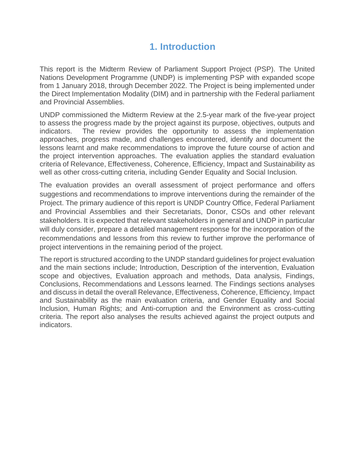### **1. Introduction**

<span id="page-11-0"></span>This report is the Midterm Review of Parliament Support Project (PSP). The United Nations Development Programme (UNDP) is implementing PSP with expanded scope from 1 January 2018, through December 2022. The Project is being implemented under the Direct Implementation Modality (DIM) and in partnership with the Federal parliament and Provincial Assemblies.

UNDP commissioned the Midterm Review at the 2.5-year mark of the five-year project to assess the progress made by the project against its purpose, objectives, outputs and indicators. The review provides the opportunity to assess the implementation approaches, progress made, and challenges encountered, identify and document the lessons learnt and make recommendations to improve the future course of action and the project intervention approaches. The evaluation applies the standard evaluation criteria of Relevance, Effectiveness, Coherence, Efficiency, Impact and Sustainability as well as other cross-cutting criteria, including Gender Equality and Social Inclusion.

The evaluation provides an overall assessment of project performance and offers suggestions and recommendations to improve interventions during the remainder of the Project. The primary audience of this report is UNDP Country Office, Federal Parliament and Provincial Assemblies and their Secretariats, Donor, CSOs and other relevant stakeholders. It is expected that relevant stakeholders in general and UNDP in particular will duly consider, prepare a detailed management response for the incorporation of the recommendations and lessons from this review to further improve the performance of project interventions in the remaining period of the project.

The report is structured according to the UNDP standard guidelines for project evaluation and the main sections include; Introduction, Description of the intervention, Evaluation scope and objectives, Evaluation approach and methods, Data analysis, Findings, Conclusions, Recommendations and Lessons learned. The Findings sections analyses and discuss in detail the overall Relevance, Effectiveness, Coherence, Efficiency, Impact and Sustainability as the main evaluation criteria, and Gender Equality and Social Inclusion, Human Rights; and Anti-corruption and the Environment as cross-cutting criteria. The report also analyses the results achieved against the project outputs and indicators.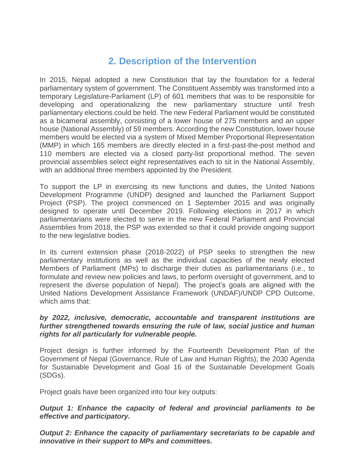### **2. Description of the Intervention**

<span id="page-12-0"></span>In 2015, Nepal adopted a new Constitution that lay the foundation for a federal parliamentary system of government. The Constituent Assembly was transformed into a temporary Legislature-Parliament (LP) of 601 members that was to be responsible for developing and operationalizing the new parliamentary structure until fresh parliamentary elections could be held. The new Federal Parliament would be constituted as a bicameral assembly, consisting of a lower house of 275 members and an upper house (National Assembly) of 59 members. According the new Constitution, lower house members would be elected via a system of Mixed Member Proportional Representation (MMP) in which 165 members are directly elected in a first-past-the-post method and 110 members are elected via a closed party-list proportional method. The seven provincial assemblies select eight representatives each to sit in the National Assembly, with an additional three members appointed by the President.

To support the LP in exercising its new functions and duties, the United Nations Development Programme (UNDP) designed and launched the Parliament Support Project (PSP). The project commenced on 1 September 2015 and was originally designed to operate until December 2019. Following elections in 2017 in which parliamentarians were elected to serve in the new Federal Parliament and Provincial Assemblies from 2018, the PSP was extended so that it could provide ongoing support to the new legislative bodies.

In its current extension phase (2018-2022) of PSP seeks to strengthen the new parliamentary institutions as well as the individual capacities of the newly elected Members of Parliament (MPs) to discharge their duties as parliamentarians (i.e., to formulate and review new policies and laws, to perform oversight of government, and to represent the diverse population of Nepal). The project's goals are aligned with the United Nations Development Assistance Framework (UNDAF)/UNDP CPD Outcome, which aims that:

#### *by 2022, inclusive, democratic, accountable and transparent institutions are further strengthened towards ensuring the rule of law, social justice and human rights for all particularly for vulnerable people.*

Project design is further informed by the Fourteenth Development Plan of the Government of Nepal (Governance, Rule of Law and Human Rights); the 2030 Agenda for Sustainable Development and Goal 16 of the Sustainable Development Goals (SDGs).

Project goals have been organized into four key outputs:

### *Output 1: Enhance the capacity of federal and provincial parliaments to be effective and participatory.*

*Output 2: Enhance the capacity of parliamentary secretariats to be capable and innovative in their support to MPs and committees.*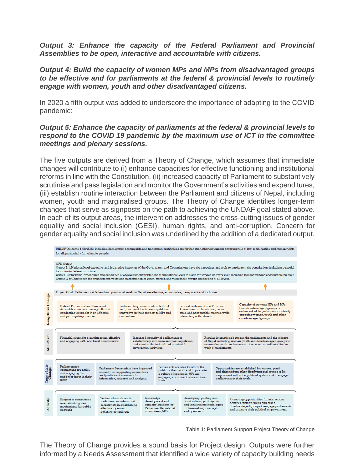*Output 3: Enhance the capacity of the Federal Parliament and Provincial Assemblies to be open, interactive and accountable with citizens.* 

*Output 4: Build the capacity of women MPs and MPs from disadvantaged groups to be effective and for parliaments at the federal & provincial levels to routinely engage with women, youth and other disadvantaged citizens.*

In 2020 a fifth output was added to underscore the importance of adapting to the COVID pandemic:

#### *Output 5: Enhance the capacity of parliaments at the federal & provincial levels to respond to the COVID 19 pandemic by the maximum use of ICT in the committee meetings and plenary sessions.*

The five outputs are derived from a Theory of Change, which assumes that immediate changes will contribute to (i) enhance capacities for effective functioning and institutional reforms in line with the Constitution, (ii) increased capacity of Parliament to substantively scrutinise and pass legislation and monitor the Government's activities and expenditures, (iii) establish routine interaction between the Parliament and citizens of Nepal, including women, youth and marginalised groups. The Theory of Change identifies longer-term changes that serve as signposts on the path to achieving the UNDAF goal stated above. In each of its output areas, the intervention addresses the cross-cutting issues of gender equality and social inclusion (GESI), human rights, and anti-corruption. Concern for gender equality and social inclusion was underlined by the addition of a dedicated output.



Table 1: Parliament Support Project Theory of Change

The Theory of Change provides a sound basis for Project design. Outputs were further informed by a Needs Assessment that identified a wide variety of capacity building needs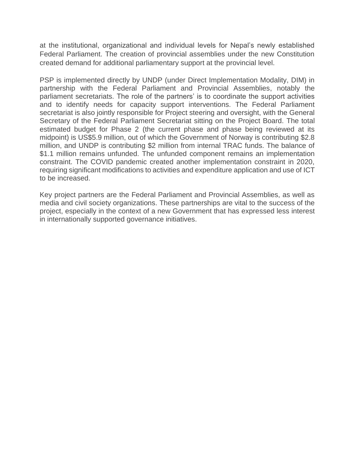at the institutional, organizational and individual levels for Nepal's newly established Federal Parliament. The creation of provincial assemblies under the new Constitution created demand for additional parliamentary support at the provincial level.

PSP is implemented directly by UNDP (under Direct Implementation Modality, DIM) in partnership with the Federal Parliament and Provincial Assemblies, notably the parliament secretariats. The role of the partners' is to coordinate the support activities and to identify needs for capacity support interventions. The Federal Parliament secretariat is also jointly responsible for Project steering and oversight, with the General Secretary of the Federal Parliament Secretariat sitting on the Project Board. The total estimated budget for Phase 2 (the current phase and phase being reviewed at its midpoint) is US\$5.9 million, out of which the Government of Norway is contributing \$2.8 million, and UNDP is contributing \$2 million from internal TRAC funds. The balance of \$1.1 million remains unfunded. The unfunded component remains an implementation constraint. The COVID pandemic created another implementation constraint in 2020, requiring significant modifications to activities and expenditure application and use of ICT to be increased.

Key project partners are the Federal Parliament and Provincial Assemblies, as well as media and civil society organizations. These partnerships are vital to the success of the project, especially in the context of a new Government that has expressed less interest in internationally supported governance initiatives.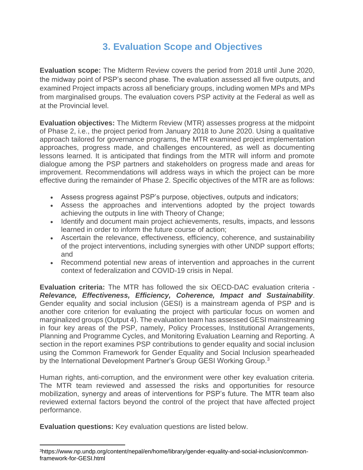### **3. Evaluation Scope and Objectives**

<span id="page-15-0"></span>**Evaluation scope:** The Midterm Review covers the period from 2018 until June 2020, the midway point of PSP's second phase. The evaluation assessed all five outputs, and examined Project impacts across all beneficiary groups, including women MPs and MPs from marginalised groups. The evaluation covers PSP activity at the Federal as well as at the Provincial level.

**Evaluation objectives:** The Midterm Review (MTR) assesses progress at the midpoint of Phase 2, i.e., the project period from January 2018 to June 2020. Using a qualitative approach tailored for governance programs, the MTR examined project implementation approaches, progress made, and challenges encountered, as well as documenting lessons learned. It is anticipated that findings from the MTR will inform and promote dialogue among the PSP partners and stakeholders on progress made and areas for improvement. Recommendations will address ways in which the project can be more effective during the remainder of Phase 2. Specific objectives of the MTR are as follows:

- Assess progress against PSP's purpose, objectives, outputs and indicators;
- Assess the approaches and interventions adopted by the project towards achieving the outputs in line with Theory of Change;
- Identify and document main project achievements, results, impacts, and lessons learned in order to inform the future course of action;
- Ascertain the relevance, effectiveness, efficiency, coherence, and sustainability of the project interventions, including synergies with other UNDP support efforts; and
- Recommend potential new areas of intervention and approaches in the current context of federalization and COVID-19 crisis in Nepal.

**Evaluation criteria:** The MTR has followed the six OECD-DAC evaluation criteria - *Relevance, Effectiveness, Efficiency, Coherence, Impact and Sustainability*. Gender equality and social inclusion (GESI) is a mainstream agenda of PSP and is another core criterion for evaluating the project with particular focus on women and marginalized groups (Output 4). The evaluation team has assessed GESI mainstreaming in four key areas of the PSP, namely, Policy Processes, Institutional Arrangements, Planning and Programme Cycles, and Monitoring Evaluation Learning and Reporting. A section in the report examines PSP contributions to gender equality and social inclusion using the Common Framework for Gender Equality and Social Inclusion spearheaded by the International Development Partner's Group GESI Working Group.<sup>3</sup>

Human rights, anti-corruption, and the environment were other key evaluation criteria. The MTR team reviewed and assessed the risks and opportunities for resource mobilization, synergy and areas of interventions for PSP's future. The MTR team also reviewed external factors beyond the control of the project that have affected project performance.

**Evaluation questions:** Key evaluation questions are listed below.

<sup>3</sup>https://www.np.undp.org/content/nepal/en/home/library/gender-equality-and-social-inclusion/commonframework-for-GESI.html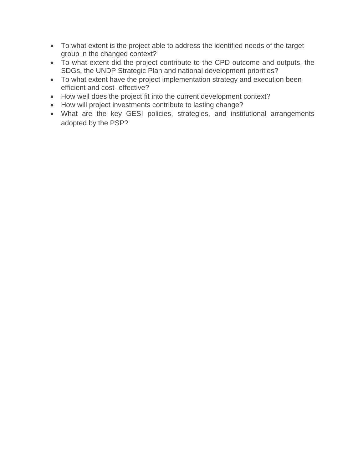- To what extent is the project able to address the identified needs of the target group in the changed context?
- To what extent did the project contribute to the CPD outcome and outputs, the SDGs, the UNDP Strategic Plan and national development priorities?
- To what extent have the project implementation strategy and execution been efficient and cost- effective?
- How well does the project fit into the current development context?
- How will project investments contribute to lasting change?
- What are the key GESI policies, strategies, and institutional arrangements adopted by the PSP?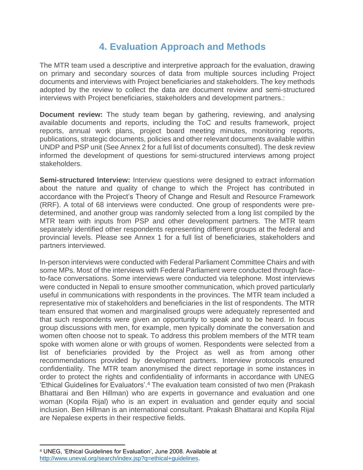### **4. Evaluation Approach and Methods**

<span id="page-17-0"></span>The MTR team used a descriptive and interpretive approach for the evaluation, drawing on primary and secondary sources of data from multiple sources including Project documents and interviews with Project beneficiaries and stakeholders. The key methods adopted by the review to collect the data are document review and semi-structured interviews with Project beneficiaries, stakeholders and development partners.:

**Document review:** The study team began by gathering, reviewing, and analysing available documents and reports, including the ToC and results framework, project reports, annual work plans, project board meeting minutes, monitoring reports, publications, strategic documents, policies and other relevant documents available within UNDP and PSP unit (See Annex 2 for a full list of documents consulted). The desk review informed the development of questions for semi-structured interviews among project stakeholders.

**Semi-structured Interview:** Interview questions were designed to extract information about the nature and quality of change to which the Project has contributed in accordance with the Project's Theory of Change and Result and Resource Framework (RRF). A total of 68 interviews were conducted. One group of respondents were predetermined, and another group was randomly selected from a long list compiled by the MTR team with inputs from PSP and other development partners. The MTR team separately identified other respondents representing different groups at the federal and provincial levels. Please see Annex 1 for a full list of beneficiaries, stakeholders and partners interviewed.

In-person interviews were conducted with Federal Parliament Committee Chairs and with some MPs. Most of the interviews with Federal Parliament were conducted through faceto-face conversations. Some interviews were conducted via telephone. Most interviews were conducted in Nepali to ensure smoother communication, which proved particularly useful in communications with respondents in the provinces. The MTR team included a representative mix of stakeholders and beneficiaries in the list of respondents. The MTR team ensured that women and marginalised groups were adequately represented and that such respondents were given an opportunity to speak and to be heard. In focus group discussions with men, for example, men typically dominate the conversation and women often choose not to speak. To address this problem members of the MTR team spoke with women alone or with groups of women. Respondents were selected from a list of beneficiaries provided by the Project as well as from among other recommendations provided by development partners. Interview protocols ensured confidentiality. The MTR team anonymised the direct reportage in some instances in order to protect the rights and confidentiality of informants in accordance with UNEG 'Ethical Guidelines for Evaluators'.<sup>4</sup> The evaluation team consisted of two men (Prakash Bhattarai and Ben Hillman) who are experts in governance and evaluation and one woman (Kopila Rijal) who is an expert in evaluation and gender equity and social inclusion. Ben Hillman is an international consultant. Prakash Bhattarai and Kopila Rijal are Nepalese experts in their respective fields.

<sup>4</sup> UNEG, 'Ethical Guidelines for Evaluation', June 2008. Available at [http://www.uneval.org/search/index.jsp?q=ethical+guidelines.](http://www.uneval.org/search/index.jsp?q=ethical+guidelines)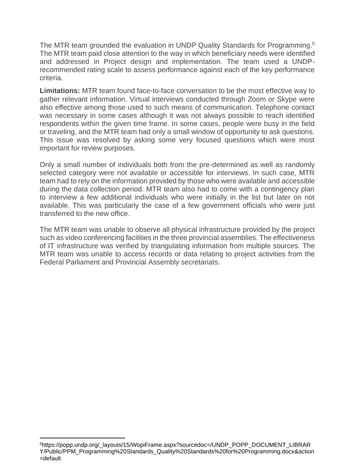The MTR team grounded the evaluation in UNDP Quality Standards for Programming.<sup>5</sup> The MTR team paid close attention to the way in which beneficiary needs were identified and addressed in Project design and implementation. The team used a UNDPrecommended rating scale to assess performance against each of the key performance criteria.

**Limitations:** MTR team found face-to-face conversation to be the most effective way to gather relevant information. Virtual interviews conducted through Zoom or Skype were also effective among those used to such means of communication. Telephone contact was necessary in some cases although it was not always possible to reach identified respondents within the given time frame. In some cases, people were busy in the field or traveling, and the MTR team had only a small window of opportunity to ask questions. This issue was resolved by asking some very focused questions which were most important for review purposes.

Only a small number of individuals both from the pre-determined as well as randomly selected category were not available or accessible for interviews. In such case, MTR team had to rely on the information provided by those who were available and accessible during the data collection period. MTR team also had to come with a contingency plan to interview a few additional individuals who were initially in the list but later on not available. This was particularly the case of a few government officials who were just transferred to the new office.

The MTR team was unable to observe all physical infrastructure provided by the project such as video conferencing facilities in the three provincial assemblies. The effectiveness of IT infrastructure was verified by triangulating information from multiple sources. The MTR team was unable to access records or data relating to project activities from the Federal Parliament and Provincial Assembly secretariats.

<sup>5</sup>https://popp.undp.org/\_layouts/15/WopiFrame.aspx?sourcedoc=/UNDP\_POPP\_DOCUMENT\_LIBRAR Y/Public/PPM\_Programming%20Standards\_Quality%20Standards%20for%20Programming.docx&action =default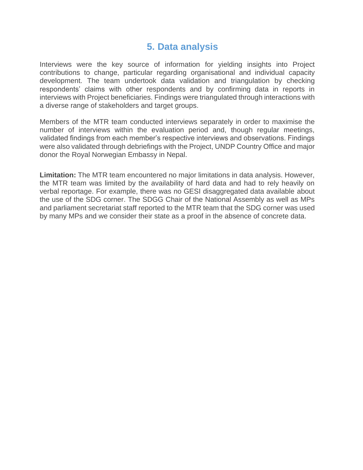### **5. Data analysis**

<span id="page-19-0"></span>Interviews were the key source of information for yielding insights into Project contributions to change, particular regarding organisational and individual capacity development. The team undertook data validation and triangulation by checking respondents' claims with other respondents and by confirming data in reports in interviews with Project beneficiaries. Findings were triangulated through interactions with a diverse range of stakeholders and target groups.

Members of the MTR team conducted interviews separately in order to maximise the number of interviews within the evaluation period and, though regular meetings, validated findings from each member's respective interviews and observations. Findings were also validated through debriefings with the Project, UNDP Country Office and major donor the Royal Norwegian Embassy in Nepal.

**Limitation:** The MTR team encountered no major limitations in data analysis. However, the MTR team was limited by the availability of hard data and had to rely heavily on verbal reportage. For example, there was no GESI disaggregated data available about the use of the SDG corner. The SDGG Chair of the National Assembly as well as MPs and parliament secretariat staff reported to the MTR team that the SDG corner was used by many MPs and we consider their state as a proof in the absence of concrete data.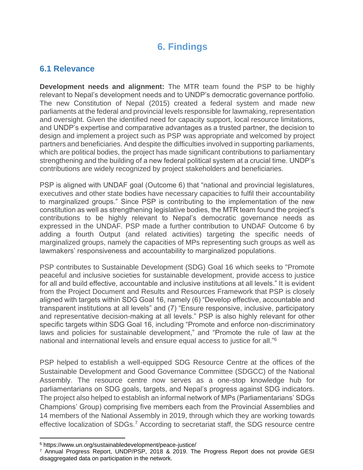### **6. Findings**

### <span id="page-20-1"></span><span id="page-20-0"></span>**6.1 Relevance**

**Development needs and alignment:** The MTR team found the PSP to be highly relevant to Nepal's development needs and to UNDP's democratic governance portfolio. The new Constitution of Nepal (2015) created a federal system and made new parliaments at the federal and provincial levels responsible for lawmaking, representation and oversight. Given the identified need for capacity support, local resource limitations, and UNDP's expertise and comparative advantages as a trusted partner, the decision to design and implement a project such as PSP was appropriate and welcomed by project partners and beneficiaries. And despite the difficulties involved in supporting parliaments, which are political bodies, the project has made significant contributions to parliamentary strengthening and the building of a new federal political system at a crucial time. UNDP's contributions are widely recognized by project stakeholders and beneficiaries.

PSP is aligned with UNDAF goal (Outcome 6) that "national and provincial legislatures, executives and other state bodies have necessary capacities to fulfil their accountability to marginalized groups." Since PSP is contributing to the implementation of the new constitution as well as strengthening legislative bodies, the MTR team found the project's contributions to be highly relevant to Nepal's democratic governance needs as expressed in the UNDAF. PSP made a further contribution to UNDAF Outcome 6 by adding a fourth Output (and related activities) targeting the specific needs of marginalized groups, namely the capacities of MPs representing such groups as well as lawmakers' responsiveness and accountability to marginalized populations.

PSP contributes to Sustainable Development (SDG) Goal 16 which seeks to "Promote peaceful and inclusive societies for [sustainable development,](https://en.wikipedia.org/wiki/Sustainable_development) provide access to justice for all and build effective, accountable and inclusive institutions at all levels." It is evident from the Project Document and Results and Resources Framework that PSP is closely aligned with targets within SDG Goal 16, namely (6) "Develop effective, accountable and transparent institutions at all levels" and (7) "Ensure responsive, inclusive, participatory and representative decision-making at all levels." PSP is also highly relevant for other specific targets within SDG Goal 16, including "Promote and enforce non-discriminatory laws and policies for [sustainable development,](https://en.wikipedia.org/wiki/Sustainable_development)" and "Promote the [rule of law](https://en.wikipedia.org/wiki/Rule_of_law) at the national and international levels and ensure equal access to [justice](https://en.wikipedia.org/wiki/Justice) for all."<sup>6</sup>

PSP helped to establish a well-equipped SDG Resource Centre at the offices of the Sustainable Development and Good Governance Committee (SDGCC) of the National Assembly. The resource centre now serves as a one-stop knowledge hub for parliamentarians on SDG goals, targets, and Nepal's progress against SDG indicators. The project also helped to establish an informal network of MPs (Parliamentarians' SDGs Champions' Group) comprising five members each from the Provincial Assemblies and 14 members of the National Assembly in 2019, through which they are working towards effective localization of SDGs.<sup>7</sup> According to secretariat staff, the SDG resource centre

<sup>6</sup> https://www.un.org/sustainabledevelopment/peace-justice/

<sup>7</sup> Annual Progress Report, UNDP/PSP, 2018 & 2019. The Progress Report does not provide GESI disaggregated data on participation in the network.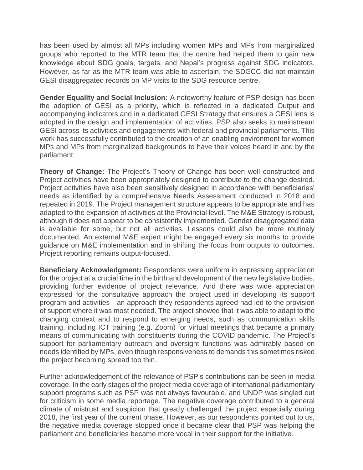has been used by almost all MPs including women MPs and MPs from marginalized groups who reported to the MTR team that the centre had helped them to gain new knowledge about SDG goals, targets, and Nepal's progress against SDG indicators. However, as far as the MTR team was able to ascertain, the SDGCC did not maintain GESI disaggregated records on MP visits to the SDG resource centre.

**Gender Equality and Social Inclusion:** A noteworthy feature of PSP design has been the adoption of GESI as a priority, which is reflected in a dedicated Output and accompanying indicators and in a dedicated GESI Strategy that ensures a GESI lens is adopted in the design and implementation of activities. PSP also seeks to mainstream GESI across its activities and engagements with federal and provincial parliaments. This work has successfully contributed to the creation of an enabling environment for women MPs and MPs from marginalized backgrounds to have their voices heard in and by the parliament.

**Theory of Change:** The Project's Theory of Change has been well constructed and Project activities have been appropriately designed to contribute to the change desired. Project activities have also been sensitively designed in accordance with beneficiaries' needs as identified by a comprehensive Needs Assessment conducted in 2018 and repeated in 2019. The Project management structure appears to be appropriate and has adapted to the expansion of activities at the Provincial level. The M&E Strategy is robust, although it does not appear to be consistently implemented. Gender disaggregated data is available for some, but not all activities. Lessons could also be more routinely documented. An external M&E expert might be engaged every six months to provide guidance on M&E implementation and in shifting the focus from outputs to outcomes. Project reporting remains output-focused.

**Beneficiary Acknowledgment:** Respondents were uniform in expressing appreciation for the project at a crucial time in the birth and development of the new legislative bodies, providing further evidence of project relevance. And there was wide appreciation expressed for the consultative approach the project used in developing its support program and activities—an approach they respondents agreed had led to the provision of support where it was most needed. The project showed that it was able to adapt to the changing context and to respond to emerging needs, such as communication skills training, including ICT training (e.g. Zoom) for virtual meetings that became a primary means of communicating with constituents during the COVID pandemic. The Project's support for parliamentary outreach and oversight functions was admirably based on needs identified by MPs, even though responsiveness to demands this sometimes risked the project becoming spread too thin.

Further acknowledgement of the relevance of PSP's contributions can be seen in media coverage. In the early stages of the project media coverage of international parliamentary support programs such as PSP was not always favourable, and UNDP was singled out for criticism in some media reportage. The negative coverage contributed to a general climate of mistrust and suspicion that greatly challenged the project especially during 2018, the first year of the current phase. However, as our respondents pointed out to us, the negative media coverage stopped once it became clear that PSP was helping the parliament and beneficiaries became more vocal in their support for the initiative.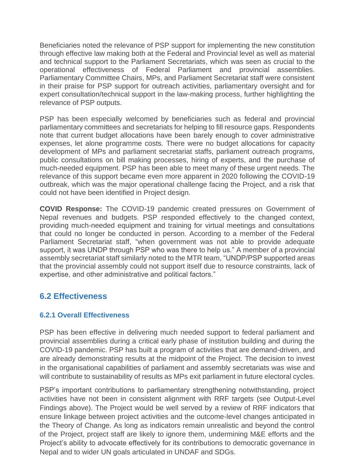Beneficiaries noted the relevance of PSP support for implementing the new constitution through effective law making both at the Federal and Provincial level as well as material and technical support to the Parliament Secretariats, which was seen as crucial to the operational effectiveness of Federal Parliament and provincial assemblies. Parliamentary Committee Chairs, MPs, and Parliament Secretariat staff were consistent in their praise for PSP support for outreach activities, parliamentary oversight and for expert consultation/technical support in the law-making process, further highlighting the relevance of PSP outputs.

PSP has been especially welcomed by beneficiaries such as federal and provincial parliamentary committees and secretariats for helping to fill resource gaps. Respondents note that current budget allocations have been barely enough to cover administrative expenses, let alone programme costs. There were no budget allocations for capacity development of MPs and parliament secretariat staffs, parliament outreach programs, public consultations on bill making processes, hiring of experts, and the purchase of much-needed equipment. PSP has been able to meet many of these urgent needs. The relevance of this support became even more apparent in 2020 following the COVID-19 outbreak, which was the major operational challenge facing the Project, and a risk that could not have been identified in Project design.

**COVID Response:** The COVID-19 pandemic created pressures on Government of Nepal revenues and budgets. PSP responded effectively to the changed context, providing much-needed equipment and training for virtual meetings and consultations that could no longer be conducted in person. According to a member of the Federal Parliament Secretariat staff, "when government was not able to provide adequate support, it was UNDP through PSP who was there to help us." A member of a provincial assembly secretariat staff similarly noted to the MTR team, "UNDP/PSP supported areas that the provincial assembly could not support itself due to resource constraints, lack of expertise, and other administrative and political factors."

### <span id="page-22-0"></span>**6.2 Effectiveness**

### <span id="page-22-1"></span>**6.2.1 Overall Effectiveness**

PSP has been effective in delivering much needed support to federal parliament and provincial assemblies during a critical early phase of institution building and during the COVID-19 pandemic. PSP has built a program of activities that are demand-driven, and are already demonstrating results at the midpoint of the Project. The decision to invest in the organisational capabilities of parliament and assembly secretariats was wise and will contribute to sustainability of results as MPs exit parliament in future electoral cycles.

PSP's important contributions to parliamentary strengthening notwithstanding, project activities have not been in consistent alignment with RRF targets (see Output-Level Findings above). The Project would be well served by a review of RRF indicators that ensure linkage between project activities and the outcome-level changes anticipated in the Theory of Change. As long as indicators remain unrealistic and beyond the control of the Project, project staff are likely to ignore them, undermining M&E efforts and the Project's ability to advocate effectively for its contributions to democratic governance in Nepal and to wider UN goals articulated in UNDAF and SDGs.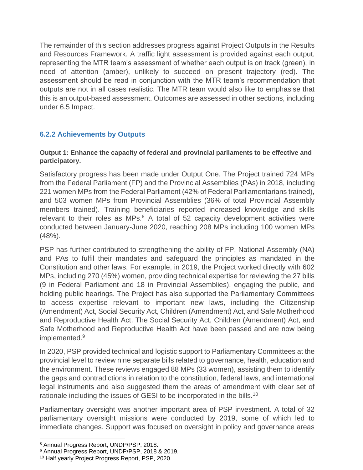The remainder of this section addresses progress against Project Outputs in the Results and Resources Framework. A traffic light assessment is provided against each output, representing the MTR team's assessment of whether each output is on track (green), in need of attention (amber), unlikely to succeed on present trajectory (red). The assessment should be read in conjunction with the MTR team's recommendation that outputs are not in all cases realistic. The MTR team would also like to emphasise that this is an output-based assessment. Outcomes are assessed in other sections, including under 6.5 Impact.

### <span id="page-23-0"></span>**6.2.2 Achievements by Outputs**

### **Output 1: Enhance the capacity of federal and provincial parliaments to be effective and participatory.**

Satisfactory progress has been made under Output One. The Project trained 724 MPs from the Federal Parliament (FP) and the Provincial Assemblies (PAs) in 2018, including 221 women MPs from the Federal Parliament (42% of Federal Parliamentarians trained), and 503 women MPs from Provincial Assemblies (36% of total Provincial Assembly members trained). Training beneficiaries reported increased knowledge and skills relevant to their roles as MPs. $8$  A total of 52 capacity development activities were conducted between January-June 2020, reaching 208 MPs including 100 women MPs (48%).

PSP has further contributed to strengthening the ability of FP, National Assembly (NA) and PAs to fulfil their mandates and safeguard the principles as mandated in the Constitution and other laws. For example, in 2019, the Project worked directly with 602 MPs, including 270 (45%) women, providing technical expertise for reviewing the 27 bills (9 in Federal Parliament and 18 in Provincial Assemblies), engaging the public, and holding public hearings. The Project has also supported the Parliamentary Committees to access expertise relevant to important new laws, including the Citizenship (Amendment) Act, Social Security Act, Children (Amendment) Act, and Safe Motherhood and Reproductive Health Act. The Social Security Act, Children (Amendment) Act, and Safe Motherhood and Reproductive Health Act have been passed and are now being implemented.<sup>9</sup>

In 2020, PSP provided technical and logistic support to Parliamentary Committees at the provincial level to review nine separate bills related to governance, health, education and the environment. These reviews engaged 88 MPs (33 women), assisting them to identify the gaps and contradictions in relation to the constitution, federal laws, and international legal instruments and also suggested them the areas of amendment with clear set of rationale including the issues of GESI to be incorporated in the bills.<sup>10</sup>

Parliamentary oversight was another important area of PSP investment. A total of 32 parliamentary oversight missions were conducted by 2019, some of which led to immediate changes. Support was focused on oversight in policy and governance areas

<sup>8</sup> Annual Progress Report, UNDP/PSP, 2018.

<sup>9</sup> Annual Progress Report, UNDP/PSP, 2018 & 2019.

<sup>10</sup> Half yearly Project Progress Report, PSP, 2020.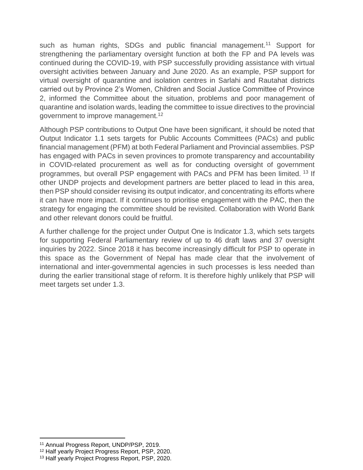such as human rights, SDGs and public financial management.<sup>11</sup> Support for strengthening the parliamentary oversight function at both the FP and PA levels was continued during the COVID-19, with PSP successfully providing assistance with virtual oversight activities between January and June 2020. As an example, PSP support for virtual oversight of quarantine and isolation centres in Sarlahi and Rautahat districts carried out by Province 2's Women, Children and Social Justice Committee of Province 2, informed the Committee about the situation, problems and poor management of quarantine and isolation wards, leading the committee to issue directives to the provincial government to improve management.<sup>12</sup>

Although PSP contributions to Output One have been significant, it should be noted that Output Indicator 1.1 sets targets for Public Accounts Committees (PACs) and public financial management (PFM) at both Federal Parliament and Provincial assemblies. PSP has engaged with PACs in seven provinces to promote transparency and accountability in COVID-related procurement as well as for conducting oversight of government programmes, but overall PSP engagement with PACs and PFM has been limited. <sup>13</sup> If other UNDP projects and development partners are better placed to lead in this area, then PSP should consider revising its output indicator, and concentrating its efforts where it can have more impact. If it continues to prioritise engagement with the PAC, then the strategy for engaging the committee should be revisited. Collaboration with World Bank and other relevant donors could be fruitful.

A further challenge for the project under Output One is Indicator 1.3, which sets targets for supporting Federal Parliamentary review of up to 46 draft laws and 37 oversight inquiries by 2022. Since 2018 it has become increasingly difficult for PSP to operate in this space as the Government of Nepal has made clear that the involvement of international and inter-governmental agencies in such processes is less needed than during the earlier transitional stage of reform. It is therefore highly unlikely that PSP will meet targets set under 1.3.

<sup>11</sup> Annual Progress Report, UNDP/PSP, 2019.

<sup>12</sup> Half yearly Project Progress Report, PSP, 2020.

<sup>13</sup> Half yearly Project Progress Report, PSP, 2020.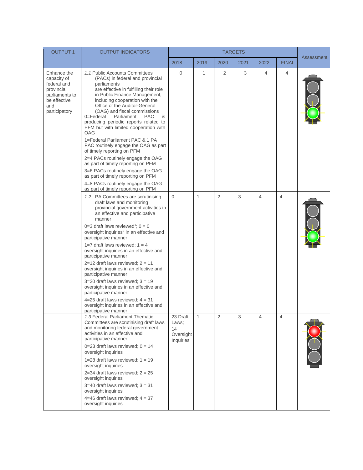| <b>OUTPUT 1</b>                                                                                                   | <b>OUTPUT INDICATORS</b>                                                                                                                                                                                                                                                                                                                                                                                                                                                                                                                                                                                                                                                                                                                          |                                                   | <b>TARGETS</b> |                |      |                |                |            |
|-------------------------------------------------------------------------------------------------------------------|---------------------------------------------------------------------------------------------------------------------------------------------------------------------------------------------------------------------------------------------------------------------------------------------------------------------------------------------------------------------------------------------------------------------------------------------------------------------------------------------------------------------------------------------------------------------------------------------------------------------------------------------------------------------------------------------------------------------------------------------------|---------------------------------------------------|----------------|----------------|------|----------------|----------------|------------|
|                                                                                                                   |                                                                                                                                                                                                                                                                                                                                                                                                                                                                                                                                                                                                                                                                                                                                                   | 2018                                              | 2019           | 2020           | 2021 | 2022           | <b>FINAL</b>   | Assessment |
| Enhance the<br>capacity of<br>federal and<br>provincial<br>parliaments to<br>be effective<br>and<br>participatory | 1.1 Public Accounts Committees<br>(PACs) in federal and provincial<br>parliaments<br>are effective in fulfilling their role<br>in Public Finance Management,<br>including cooperation with the<br>Office of the Auditor-General<br>(OAG) and fiscal commissions<br>0=Federal<br>Parliament<br><b>PAC</b><br>is<br>producing periodic reports related to<br>PFM but with limited cooperation with<br>OAG<br>1=Federal Parliament PAC & 1 PA<br>PAC routinely engage the OAG as part<br>of timely reporting on PFM<br>2=4 PACs routinely engage the OAG<br>as part of timely reporting on PFM<br>3=6 PACs routinely engage the OAG<br>as part of timely reporting on PFM<br>4=8 PACs routinely engage the OAG<br>as part of timely reporting on PFM | 0                                                 | 1              | 2              | 3    | 4              | 4              |            |
|                                                                                                                   | 1.2 PA Committees are scrutinising<br>draft laws and monitoring<br>provincial government activities in<br>an effective and participative<br>manner<br>0=3 draft laws reviewed <sup>1</sup> ; $0 = 0$<br>oversight inquiries <sup>2</sup> in an effective and<br>participative manner<br>1=7 draft laws reviewed; $1 = 4$<br>oversight inquiries in an effective and<br>participative manner<br>$2=12$ draft laws reviewed; $2=11$<br>oversight inquiries in an effective and<br>participative manner<br>$3=20$ draft laws reviewed; $3=19$<br>oversight inquiries in an effective and<br>participative manner<br>4=25 draft laws reviewed; $4 = 31$<br>oversight inquiries in an effective and<br>participative manner                            | $\Omega$                                          | $\mathbf{1}$   | $\overline{2}$ | 3    | $\overline{4}$ | $\overline{4}$ |            |
|                                                                                                                   | 1.3 Federal Parliament Thematic<br>Committees are scrutinising draft laws<br>and monitoring federal government<br>activities in an effective and<br>participative manner<br>0=23 draft laws reviewed; $0 = 14$<br>oversight inquiries<br>1=28 draft laws reviewed; $1 = 19$<br>oversight inquiries<br>$2=34$ draft laws reviewed; $2 = 25$<br>oversight inquiries<br>$3=40$ draft laws reviewed; $3 = 31$<br>oversight inquiries<br>4=46 draft laws reviewed; $4 = 37$<br>oversight inquiries                                                                                                                                                                                                                                                     | 23 Draft<br>Laws;<br>14<br>Oversight<br>Inquiries | 1              | $\overline{2}$ | 3    | $\overline{4}$ | $\overline{4}$ |            |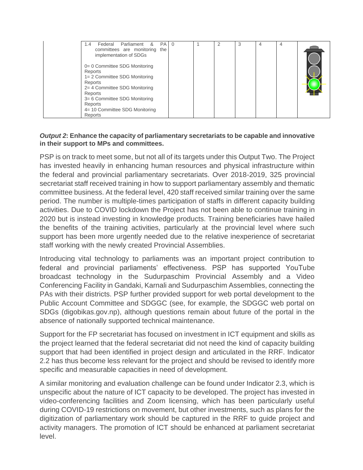| $PA$ 0<br>Parliament &<br>Federal<br>1.4<br>committees are monitoring the<br>implementation of SDGs<br>0= 0 Committee SDG Monitoring<br>Reports<br>1= 2 Committee SDG Monitoring<br>Reports<br>2= 4 Committee SDG Monitoring<br>Reports<br>3= 6 Committee SDG Monitoring<br>Reports<br>4= 10 Committee SDG Monitoring<br>Reports |  |  |  | 3 |  |  |  |
|----------------------------------------------------------------------------------------------------------------------------------------------------------------------------------------------------------------------------------------------------------------------------------------------------------------------------------|--|--|--|---|--|--|--|
|----------------------------------------------------------------------------------------------------------------------------------------------------------------------------------------------------------------------------------------------------------------------------------------------------------------------------------|--|--|--|---|--|--|--|

#### *Output 2***: Enhance the capacity of parliamentary secretariats to be capable and innovative in their support to MPs and committees.**

PSP is on track to meet some, but not all of its targets under this Output Two. The Project has invested heavily in enhancing human resources and physical infrastructure within the federal and provincial parliamentary secretariats. Over 2018-2019, 325 provincial secretariat staff received training in how to support parliamentary assembly and thematic committee business. At the federal level, 420 staff received similar training over the same period. The number is multiple-times participation of staffs in different capacity building activities. Due to COVID lockdown the Project has not been able to continue training in 2020 but is instead investing in knowledge products. Training beneficiaries have hailed the benefits of the training activities, particularly at the provincial level where such support has been more urgently needed due to the relative inexperience of secretariat staff working with the newly created Provincial Assemblies.

Introducing vital technology to parliaments was an important project contribution to federal and provincial parliaments' effectiveness. PSP has supported YouTube broadcast technology in the Sudurpaschim Provincial Assembly and a Video Conferencing Facility in Gandaki, Karnali and Sudurpaschim Assemblies, connecting the PAs with their districts. PSP further provided support for web portal development to the Public Account Committee and SDGGC (see, for example, the SDGGC web portal on SDGs (digobikas.gov.np), although questions remain about future of the portal in the absence of nationally supported technical maintenance.

Support for the FP secretariat has focused on investment in ICT equipment and skills as the project learned that the federal secretariat did not need the kind of capacity building support that had been identified in project design and articulated in the RRF. Indicator 2.2 has thus become less relevant for the project and should be revised to identify more specific and measurable capacities in need of development.

A similar monitoring and evaluation challenge can be found under Indicator 2.3, which is unspecific about the nature of ICT capacity to be developed. The project has invested in video-conferencing facilities and Zoom licensing, which has been particularly useful during COVID-19 restrictions on movement, but other investments, such as plans for the digitization of parliamentary work should be captured in the RRF to guide project and activity managers. The promotion of ICT should be enhanced at parliament secretariat level.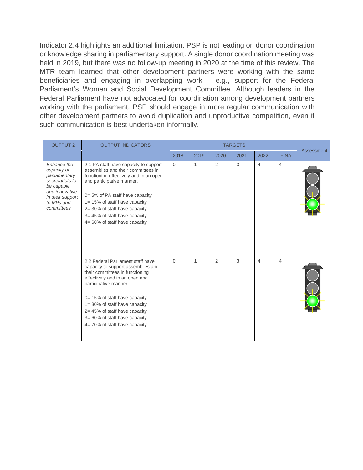Indicator 2.4 highlights an additional limitation. PSP is not leading on donor coordination or knowledge sharing in parliamentary support. A single donor coordination meeting was held in 2019, but there was no follow-up meeting in 2020 at the time of this review. The MTR team learned that other development partners were working with the same beneficiaries and engaging in overlapping work – e.g., support for the Federal Parliament's Women and Social Development Committee. Although leaders in the Federal Parliament have not advocated for coordination among development partners working with the parliament, PSP should engage in more regular communication with other development partners to avoid duplication and unproductive competition, even if such communication is best undertaken informally.

| <b>OUTPUT 2</b>                                                                                                                                | <b>OUTPUT INDICATORS</b>                                                                                                                                                                                                                                                                                                                       |          | <b>TARGETS</b> |                |      |                |                | Assessment |
|------------------------------------------------------------------------------------------------------------------------------------------------|------------------------------------------------------------------------------------------------------------------------------------------------------------------------------------------------------------------------------------------------------------------------------------------------------------------------------------------------|----------|----------------|----------------|------|----------------|----------------|------------|
|                                                                                                                                                |                                                                                                                                                                                                                                                                                                                                                | 2018     | 2019           | 2020           | 2021 | 2022           | <b>FINAL</b>   |            |
| Enhance the<br>capacity of<br>parliamentary<br>secretariats to<br>be capable<br>and innovative<br>in their support<br>to MPs and<br>committees | 2.1 PA staff have capacity to support<br>assemblies and their committees in<br>functioning effectively and in an open<br>and participative manner.<br>0= 5% of PA staff have capacity<br>1= 15% of staff have capacity<br>2=30% of staff have capacity<br>3= 45% of staff have capacity<br>$4 = 60\%$ of staff have capacity                   | $\Omega$ | 1              | 2              | 3    | $\overline{4}$ | $\overline{4}$ |            |
|                                                                                                                                                | 2.2 Federal Parliament staff have<br>capacity to support assemblies and<br>their committees in functioning<br>effectively and in an open and<br>participative manner.<br>0= 15% of staff have capacity<br>$1 = 30\%$ of staff have capacity<br>2= 45% of staff have capacity<br>3= 60% of staff have capacity<br>4= 70% of staff have capacity | $\Omega$ | 1              | $\overline{2}$ | 3    | $\overline{4}$ | 4              |            |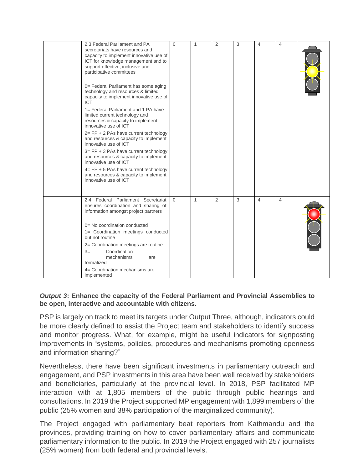| 2.3 Federal Parliament and PA<br>secretariats have resources and<br>capacity to implement innovative use of<br>ICT for knowledge management and to<br>support effective, inclusive and<br>participative committees<br>0= Federal Parliament has some aging<br>technology and resources & limited<br>capacity to implement innovative use of<br><b>ICT</b><br>1= Federal Parliament and 1 PA have<br>limited current technology and<br>resources & capacity to implement<br>innovative use of ICT<br>$2 = FP + 2$ PAs have current technology<br>and resources & capacity to implement<br>innovative use of ICT<br>$3 = FP + 3$ PAs have current technology<br>and resources & capacity to implement<br>innovative use of ICT<br>$4 = FP + 5$ PAs have current technology<br>and resources & capacity to implement<br>innovative use of ICT | $\Omega$ | 1 | $\overline{2}$ | 3 | 4 | 4 |  |
|--------------------------------------------------------------------------------------------------------------------------------------------------------------------------------------------------------------------------------------------------------------------------------------------------------------------------------------------------------------------------------------------------------------------------------------------------------------------------------------------------------------------------------------------------------------------------------------------------------------------------------------------------------------------------------------------------------------------------------------------------------------------------------------------------------------------------------------------|----------|---|----------------|---|---|---|--|
| 2.4 Federal Parliament Secretariat<br>ensures coordination and sharing of<br>information amongst project partners<br>0= No coordination conducted<br>1= Coordination meetings conducted<br>but not routine<br>2= Coordination meetings are routine<br>Coordination<br>$3=$<br>mechanisms<br>are<br>formalized<br>4= Coordination mechanisms are<br>implemented                                                                                                                                                                                                                                                                                                                                                                                                                                                                             | $\Omega$ | 1 | $\overline{2}$ | 3 | 4 | 4 |  |

### *Output 3***: Enhance the capacity of the Federal Parliament and Provincial Assemblies to be open, interactive and accountable with citizens.**

PSP is largely on track to meet its targets under Output Three, although, indicators could be more clearly defined to assist the Project team and stakeholders to identify success and monitor progress. What, for example, might be useful indicators for signposting improvements in "systems, policies, procedures and mechanisms promoting openness and information sharing?"

Nevertheless, there have been significant investments in parliamentary outreach and engagement, and PSP investments in this area have been well received by stakeholders and beneficiaries, particularly at the provincial level. In 2018, PSP facilitated MP interaction with at 1,805 members of the public through public hearings and consultations. In 2019 the Project supported MP engagement with 1,899 members of the public (25% women and 38% participation of the marginalized community).

The Project engaged with parliamentary beat reporters from Kathmandu and the provinces, providing training on how to cover parliamentary affairs and communicate parliamentary information to the public. In 2019 the Project engaged with 257 journalists (25% women) from both federal and provincial levels.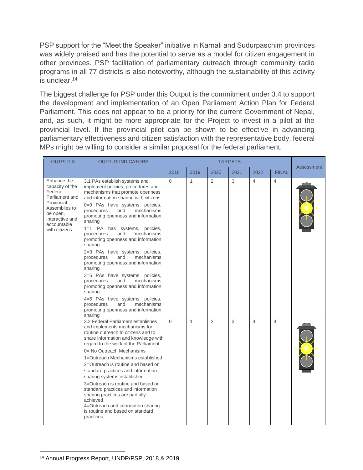PSP support for the "Meet the Speaker" initiative in Karnali and Sudurpaschim provinces was widely praised and has the potential to serve as a model for citizen engagement in other provinces. PSP facilitation of parliamentary outreach through community radio programs in all 77 districts is also noteworthy, although the sustainability of this activity is unclear.<sup>14</sup>

The biggest challenge for PSP under this Output is the commitment under 3.4 to support the development and implementation of an Open Parliament Action Plan for Federal Parliament. This does not appear to be a priority for the current Government of Nepal, and, as such, it might be more appropriate for the Project to invest in a pilot at the provincial level. If the provincial pilot can be shown to be effective in advancing parliamentary effectiveness and citizen satisfaction with the representative body, federal MPs might be willing to consider a similar proposal for the federal parliament.

| <b>OUTPUT 3</b>                                                                                                                                            | <b>OUTPUT INDICATORS</b>                                                                                                                                                                                                                                                                                                                                                                                                                                                                                                                                                                                                                                                                                                                                          |          | <b>TARGETS</b> |      |      |                |                |            |
|------------------------------------------------------------------------------------------------------------------------------------------------------------|-------------------------------------------------------------------------------------------------------------------------------------------------------------------------------------------------------------------------------------------------------------------------------------------------------------------------------------------------------------------------------------------------------------------------------------------------------------------------------------------------------------------------------------------------------------------------------------------------------------------------------------------------------------------------------------------------------------------------------------------------------------------|----------|----------------|------|------|----------------|----------------|------------|
|                                                                                                                                                            |                                                                                                                                                                                                                                                                                                                                                                                                                                                                                                                                                                                                                                                                                                                                                                   | 2018     | 2019           | 2020 | 2021 | 2022           | <b>FINAL</b>   | Assessment |
| Enhance the<br>capacity of the<br>Federal<br>Parliament and<br>Provincial<br>Assemblies to<br>be open,<br>interactive and<br>accountable<br>with citizens. | 3.1 PAs establish systems and<br>implement policies, procedures and<br>mechanisms that promote openness<br>and information sharing with citizens<br>0=0 PAs have systems, policies,<br>procedures<br>mechanisms<br>and<br>promoting openness and information<br>sharing<br>1=1 PA has systems, policies,<br>mechanisms<br>procedures<br>and<br>promoting openness and information<br>sharing<br>2=3 PAs have systems, policies,<br>mechanisms<br>procedures<br>and<br>promoting openness and information<br>sharing<br>3=5 PAs have systems, policies,<br>procedures<br>and<br>mechanisms<br>promoting openness and information<br>sharing<br>4=6 PAs have systems, policies,<br>and<br>mechanisms<br>procedures<br>promoting openness and information<br>sharing | $\Omega$ | $\mathbf{1}$   | 2    | 3    | 4              | $\overline{4}$ |            |
|                                                                                                                                                            | 3.2 Federal Parliament establishes<br>and implements mechanisms for<br>routine outreach to citizens and to<br>share information and knowledge with<br>regard to the work of the Parliament<br>0= No Outreach Mechanisms<br>1=Outreach Mechanisms established<br>2=Outreach is routine and based on<br>standard practices and information<br>sharing systems established<br>3=Outreach is routine and based on<br>standard practices and information<br>sharing practices are partially<br>achieved<br>4=Outreach and information sharing<br>is routine and based on standard<br>practices                                                                                                                                                                         | $\Omega$ | 1              | 2    | 3    | $\overline{4}$ | $\overline{4}$ |            |

<sup>14</sup> Annual Progress Report, UNDP/PSP, 2018 & 2019.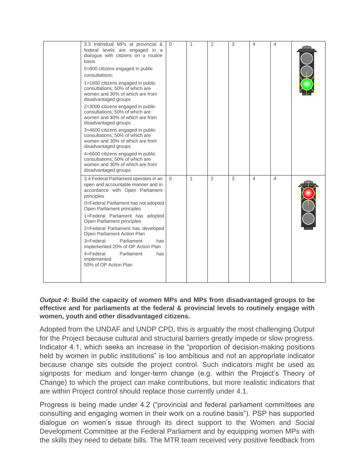| 3.3 Individual MPs at provincial &<br>federal levels are engaged in a<br>dialogue with citizens on a routine<br>basis<br>0=800 citizens engaged in public<br>consultations:<br>1=1600 citizens engaged in public<br>consultations; 50% of which are<br>women and 30% of which are from<br>disadvantaged groups<br>2=3000 citizens engaged in public<br>consultations; 50% of which are<br>women and 30% of which are from<br>disadvantaged groups<br>3=4600 citizens engaged in public<br>consultations; 50% of which are<br>women and 30% of which are from<br>disadvantaged groups<br>4=6600 citizens engaged in public<br>consultations; 50% of which are<br>women and 30% of which are from<br>disadvantaged groups | $\mathbf{0}$ | 1            | 2 | 3 | $\overline{4}$           | $\overline{4}$ |  |
|-------------------------------------------------------------------------------------------------------------------------------------------------------------------------------------------------------------------------------------------------------------------------------------------------------------------------------------------------------------------------------------------------------------------------------------------------------------------------------------------------------------------------------------------------------------------------------------------------------------------------------------------------------------------------------------------------------------------------|--------------|--------------|---|---|--------------------------|----------------|--|
| 3.4 Federal Parliament operates in an<br>open and accountable manner and in<br>accordance with Open Parliament<br>principles<br>0=Federal Parliament has not adopted<br>Open Parliament principles<br>1=Federal Parliament has adopted<br>Open Parliament principles<br>2=Federal Parliament has developed<br>Open Parliament Action Plan<br>3=Federal<br>Parliament<br>has<br>implemented 20% of OP Action Plan<br>4=Federal<br>Parliament<br>has<br>implemented<br>50% of OP Action Plan                                                                                                                                                                                                                              | $\Omega$     | $\mathbf{1}$ | 2 | 3 | $\overline{\mathcal{L}}$ | 4              |  |

#### *Output 4***: Build the capacity of women MPs and MPs from disadvantaged groups to be effective and for parliaments at the federal & provincial levels to routinely engage with women, youth and other disadvantaged citizens.**

Adopted from the UNDAF and UNDP CPD, this is arguably the most challenging Output for the Project because cultural and structural barriers greatly impede or slow progress. Indicator 4.1, which seeks an increase in the "proportion of decision-making positions held by women in public institutions" is too ambitious and not an appropriate indicator because change sits outside the project control. Such indicators might be used as signposts for medium and longer-term change (e.g. within the Project's Theory of Change) to which the project can make contributions, but more realistic indicators that are within Project control should replace those currently under 4.1.

Progress is being made under 4.2 ("provincial and federal parliament committees are consulting and engaging women in their work on a routine basis"). PSP has supported dialogue on women's issue through its direct support to the Women and Social Development Committee at the Federal Parliament and by equipping women MPs with the skills they need to debate bills. The MTR team received very positive feedback from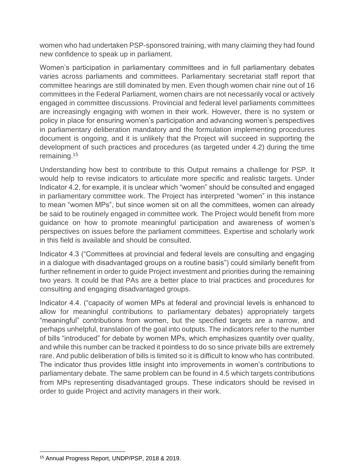women who had undertaken PSP-sponsored training, with many claiming they had found new confidence to speak up in parliament.

Women's participation in parliamentary committees and in full parliamentary debates varies across parliaments and committees. Parliamentary secretariat staff report that committee hearings are still dominated by men. Even though women chair nine out of 16 committees in the Federal Parliament, women chairs are not necessarily vocal or actively engaged in committee discussions. Provincial and federal level parliaments committees are increasingly engaging with women in their work. However, there is no system or policy in place for ensuring women's participation and advancing women's perspectives in parliamentary deliberation mandatory and the formulation implementing procedures document is ongoing, and it is unlikely that the Project will succeed in supporting the development of such practices and procedures (as targeted under 4.2) during the time remaining.<sup>15</sup>

Understanding how best to contribute to this Output remains a challenge for PSP. It would help to revise indicators to articulate more specific and realistic targets. Under Indicator 4.2, for example, it is unclear which "women" should be consulted and engaged in parliamentary committee work. The Project has interpreted "women" in this instance to mean "women MPs", but since women sit on all the committees, women can already be said to be routinely engaged in committee work. The Project would benefit from more guidance on how to promote meaningful participation and awareness of women's perspectives on issues before the parliament committees. Expertise and scholarly work in this field is available and should be consulted.

Indicator 4.3 ("Committees at provincial and federal levels are consulting and engaging in a dialogue with disadvantaged groups on a routine basis") could similarly benefit from further refinement in order to guide Project investment and priorities during the remaining two years. It could be that PAs are a better place to trial practices and procedures for consulting and engaging disadvantaged groups.

Indicator 4.4. ("capacity of women MPs at federal and provincial levels is enhanced to allow for meaningful contributions to parliamentary debates) appropriately targets "meaningful" contributions from women, but the specified targets are a narrow, and perhaps unhelpful, translation of the goal into outputs. The indicators refer to the number of bills "introduced" for debate by women MPs, which emphasizes quantity over quality, and while this number can be tracked it pointless to do so since private bills are extremely rare. And public deliberation of bills is limited so it is difficult to know who has contributed. The indicator thus provides little insight into improvements in women's contributions to parliamentary debate. The same problem can be found in 4.5 which targets contributions from MPs representing disadvantaged groups. These indicators should be revised in order to guide Project and activity managers in their work.

<sup>15</sup> Annual Progress Report, UNDP/PSP, 2018 & 2019.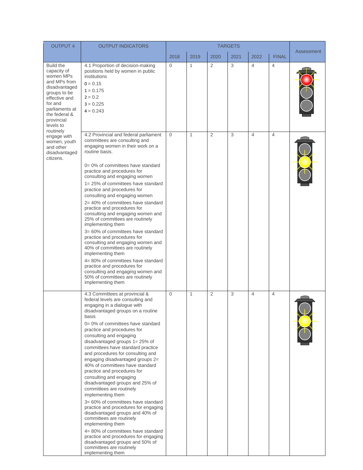| <b>OUTPUT 4</b>                                                                                                                                                                                      | <b>OUTPUT INDICATORS</b><br><b>TARGETS</b>                                                                                                                                                                                                                                                                                                                                                                                                                                                                                                                                                                                                                                                                                                                                                                                                                                                                                  |                |              |                |      |                |                |            |
|------------------------------------------------------------------------------------------------------------------------------------------------------------------------------------------------------|-----------------------------------------------------------------------------------------------------------------------------------------------------------------------------------------------------------------------------------------------------------------------------------------------------------------------------------------------------------------------------------------------------------------------------------------------------------------------------------------------------------------------------------------------------------------------------------------------------------------------------------------------------------------------------------------------------------------------------------------------------------------------------------------------------------------------------------------------------------------------------------------------------------------------------|----------------|--------------|----------------|------|----------------|----------------|------------|
|                                                                                                                                                                                                      |                                                                                                                                                                                                                                                                                                                                                                                                                                                                                                                                                                                                                                                                                                                                                                                                                                                                                                                             | 2018           | 2019         | 2020           | 2021 | 2022           | <b>FINAL</b>   | Assessment |
| <b>Build the</b><br>capacity of<br>women MPs<br>and MPs from<br>disadvantaged<br>groups to be<br>effective and<br>for and<br>parliaments at<br>the federal &<br>provincial<br>levels to<br>routinely | 4.1 Proportion of decision-making<br>positions held by women in public<br>institutions<br>$0 = 0.15$<br>$1 = 0.175$<br>$2 = 0.2$<br>$3 = 0.225$<br>$4 = 0.243$                                                                                                                                                                                                                                                                                                                                                                                                                                                                                                                                                                                                                                                                                                                                                              | $\mathbf{0}$   | $\mathbf{1}$ | $\overline{2}$ | 3    | $\overline{4}$ | $\overline{4}$ |            |
| engage with<br>women, youth<br>and other<br>disadvantaged<br>citizens.                                                                                                                               | 4.2 Provincial and federal parliament<br>committees are consulting and<br>engaging women in their work on a<br>routine basis.<br>$0 = 0\%$ of committees have standard<br>practice and procedures for<br>consulting and engaging women<br>1=25% of committees have standard<br>practice and procedures for<br>consulting and engaging women<br>2=40% of committees have standard<br>practice and procedures for<br>consulting and engaging women and<br>25% of committees are routinely<br>implementing them<br>3= 60% of committees have standard<br>practice and procedures for<br>consulting and engaging women and<br>40% of committees are routinely<br>implementing them<br>4= 80% of committees have standard<br>practice and procedures for<br>consulting and engaging women and<br>50% of committees are routinely<br>implementing them                                                                            | $\overline{0}$ | $\mathbf{1}$ | 2              | 3    | $\overline{4}$ | $\overline{4}$ |            |
|                                                                                                                                                                                                      | 4.3 Committees at provincial &<br>federal levels are consulting and<br>engaging in a dialogue with<br>disadvantaged groups on a routine<br>basis<br>$0 = 0\%$ of committees have standard<br>practice and procedures for<br>consulting and engaging<br>disadvantaged groups $1 = 25\%$ of<br>committees have standard practice<br>and procedures for consulting and<br>engaging disadvantaged groups 2=<br>40% of committees have standard<br>practice and procedures for<br>consulting and engaging<br>disadvantaged groups and 25% of<br>committees are routinely<br>implementing them<br>3= 60% of committees have standard<br>practice and procedures for engaging<br>disadvantaged groups and 40% of<br>committees are routinely<br>implementing them<br>4=80% of committees have standard<br>practice and procedures for engaging<br>disadvantaged groups and 50% of<br>committees are routinely<br>implementing them | $\mathbf{0}$   | $\mathbf{1}$ | $\overline{2}$ | 3    | $\overline{4}$ | $\overline{4}$ |            |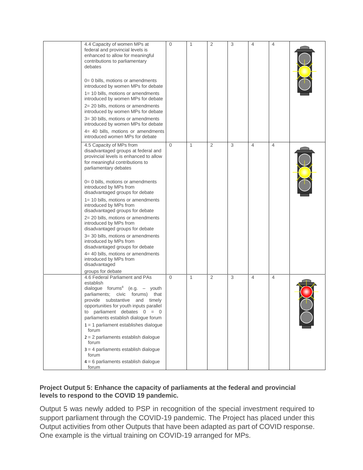| 4.4 Capacity of women MPs at<br>federal and provincial levels is<br>enhanced to allow for meaningful<br>contributions to parliamentary<br>debates<br>0= 0 bills, motions or amendments<br>introduced by women MPs for debate<br>1= 10 bills, motions or amendments<br>introduced by women MPs for debate<br>2= 20 bills, motions or amendments<br>introduced by women MPs for debate<br>3= 30 bills, motions or amendments<br>introduced by women MPs for debate<br>4= 40 bills, motions or amendments<br>introduced women MPs for debate                                                                                                                                                 | $\Omega$ | 1            | 2              | 3 | $\overline{4}$ | 4              |  |
|-------------------------------------------------------------------------------------------------------------------------------------------------------------------------------------------------------------------------------------------------------------------------------------------------------------------------------------------------------------------------------------------------------------------------------------------------------------------------------------------------------------------------------------------------------------------------------------------------------------------------------------------------------------------------------------------|----------|--------------|----------------|---|----------------|----------------|--|
| 4.5 Capacity of MPs from<br>disadvantaged groups at federal and<br>provincial levels is enhanced to allow<br>for meaningful contributions to<br>parliamentary debates<br>0= 0 bills, motions or amendments<br>introduced by MPs from<br>disadvantaged groups for debate<br>$1 = 10$ bills, motions or amendments<br>introduced by MPs from<br>disadvantaged groups for debate<br>2= 20 bills, motions or amendments<br>introduced by MPs from<br>disadvantaged groups for debate<br>3= 30 bills, motions or amendments<br>introduced by MPs from<br>disadvantaged groups for debate<br>4= 40 bills, motions or amendments<br>introduced by MPs from<br>disadvantaged<br>groups for debate | $\Omega$ | 1            | 2              | 3 | $\overline{4}$ | $\overline{4}$ |  |
| 4.6 Federal Parliament and PAs<br>establish<br>dialogue forums <sup>8</sup> (e.g.<br>- youth<br>parliaments; civic forums) that<br>provide substantive and timely<br>opportunities for youth inputs parallel<br>to parliament debates $0 = 0$<br>parliaments establish dialogue forum<br>$1 = 1$ parliament establishes dialogue<br>forum<br>$2 = 2$ parliaments establish dialogue<br>forum<br>$3 = 4$ parliaments establish dialogue<br>forum<br>$4 = 6$ parliaments establish dialogue<br>forum                                                                                                                                                                                        | $\Omega$ | $\mathbf{1}$ | $\overline{2}$ | 3 | $\overline{4}$ | 4              |  |

### **Project Output 5: Enhance the capacity of parliaments at the federal and provincial levels to respond to the COVID 19 pandemic.**

Output 5 was newly added to PSP in recognition of the special investment required to support parliament through the COVID-19 pandemic. The Project has placed under this Output activities from other Outputs that have been adapted as part of COVID response. One example is the virtual training on COVID-19 arranged for MPs.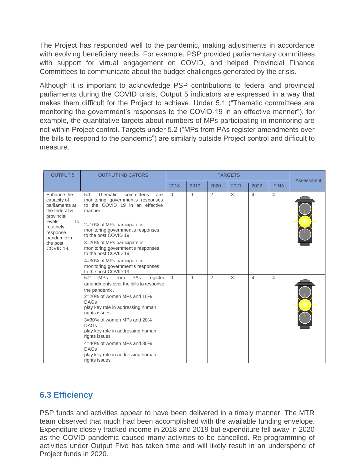The Project has responded well to the pandemic, making adjustments in accordance with evolving beneficiary needs. For example, PSP provided parliamentary committees with support for virtual engagement on COVID, and helped Provincial Finance Committees to communicate about the budget challenges generated by the crisis.

Although it is important to acknowledge PSP contributions to federal and provincial parliaments during the COVID crisis, Output 5 indicators are expressed in a way that makes them difficult for the Project to achieve. Under 5.1 ("Thematic committees are monitoring the government's responses to the COVID-19 in an effective manner"), for example, the quantitative targets about numbers of MPs participating in monitoring are not within Project control. Targets under 5.2 ("MPs from PAs register amendments over the bills to respond to the pandemic") are similarly outside Project control and difficult to measure.

| <b>OUTPUT 5</b>                                                                                                                                                          | <b>OUTPUT INDICATORS</b>                                                                                                                                                                                                                                                                                                                                                                                        |          | <b>TARGETS</b> |                |      |                |                |            |
|--------------------------------------------------------------------------------------------------------------------------------------------------------------------------|-----------------------------------------------------------------------------------------------------------------------------------------------------------------------------------------------------------------------------------------------------------------------------------------------------------------------------------------------------------------------------------------------------------------|----------|----------------|----------------|------|----------------|----------------|------------|
|                                                                                                                                                                          |                                                                                                                                                                                                                                                                                                                                                                                                                 | 2018     | 2019           | 2020           | 2021 | 2022           | <b>FINAL</b>   | Assessment |
| Enhance the<br>capacity of<br>parliaments at<br>the federal &<br>provincial<br>levels<br>to<br>routinely<br>response<br>pandemic in<br>the post<br>COVID <sub>19</sub> . | 5.1<br>Thematic<br>committees<br>are<br>monitoring government's responses<br>to the COVID 19 in an effective<br>manner<br>2=10% of MPs participate in<br>monitoring government's responses<br>to the post COVID 19<br>3=20% of MPs participate in<br>monitoring government's responses<br>to the post COVID 19<br>4=30% of MPs participate in<br>monitoring government's responses<br>to the post COVID 19      | $\Omega$ | 1              | 2              | 3    | 4              | $\overline{4}$ |            |
|                                                                                                                                                                          | 5.2<br><b>MPs</b><br>register<br>from<br>PAs<br>amendments over the bills to response<br>the pandemic.<br>2=20% of women MPs and 10%<br><b>DAGs</b><br>play key role in addressing human<br>rights issues<br>3=30% of women MPs and 20%<br><b>DAGs</b><br>play key role in addressing human<br>rights issues<br>4=40% of women MPs and 30%<br><b>DAGs</b><br>play key role in addressing human<br>rights issues | $\Omega$ | 1              | $\overline{2}$ | 3    | $\overline{4}$ | 4              |            |

### <span id="page-34-0"></span>**6.3 Efficiency**

PSP funds and activities appear to have been delivered in a timely manner. The MTR team observed that much had been accomplished with the available funding envelope. Expenditure closely tracked income in 2018 and 2019 but expenditure fell away in 2020 as the COVID pandemic caused many activities to be cancelled. Re-programming of activities under Output Five has taken time and will likely result in an underspend of Project funds in 2020.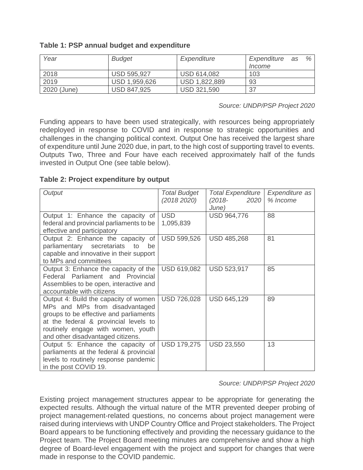| Table 1: PSP annual budget and expenditure |  |  |  |  |
|--------------------------------------------|--|--|--|--|
|--------------------------------------------|--|--|--|--|

| Year        | <b>Budget</b>      | Expenditure        | Expenditure as | % |
|-------------|--------------------|--------------------|----------------|---|
|             |                    |                    | Income         |   |
| 2018        | <b>USD 595,927</b> | USD 614,082        | 103            |   |
| 2019        | USD 1,959,626      | USD 1,822,889      | 93             |   |
| 2020 (June) | <b>USD 847,925</b> | <b>USD 321,590</b> | 37             |   |

*Source: UNDP/PSP Project 2020*

Funding appears to have been used strategically, with resources being appropriately redeployed in response to COVID and in response to strategic opportunities and challenges in the changing political context. Output One has received the largest share of expenditure until June 2020 due, in part, to the high cost of supporting travel to events. Outputs Two, Three and Four have each received approximately half of the funds invested in Output One (see table below).

**Table 2: Project expenditure by output**

| Output                                                                                                                                                                                                                                | <b>Total Budget</b><br>(20182020) | <b>Total Expenditure</b><br>$(2018 -$<br>2020<br>June) | Expenditure as<br>% Income |
|---------------------------------------------------------------------------------------------------------------------------------------------------------------------------------------------------------------------------------------|-----------------------------------|--------------------------------------------------------|----------------------------|
| Output 1: Enhance the capacity of<br>federal and provincial parliaments to be<br>effective and participatory                                                                                                                          | <b>USD</b><br>1,095,839           | <b>USD 964,776</b>                                     | 88                         |
| Output 2: Enhance the capacity of<br>parliamentary secretariats<br>to<br>be<br>capable and innovative in their support<br>to MPs and committees                                                                                       | <b>USD 599,526</b>                | <b>USD 485,268</b>                                     | 81                         |
| Output 3: Enhance the capacity of the<br>Federal Parliament and Provincial<br>Assemblies to be open, interactive and<br>accountable with citizens                                                                                     | USD 619,082                       | USD 523,917                                            | 85                         |
| Output 4: Build the capacity of women<br>MPs and MPs from disadvantaged<br>groups to be effective and parliaments<br>at the federal & provincial levels to<br>routinely engage with women, youth<br>and other disadvantaged citizens. | <b>USD 726,028</b>                | <b>USD 645,129</b>                                     | 89                         |
| Output 5: Enhance the capacity of<br>parliaments at the federal & provincial<br>levels to routinely response pandemic<br>in the post COVID 19.                                                                                        | <b>USD 179,275</b>                | <b>USD 23,550</b>                                      | 13                         |

#### *Source: UNDP/PSP Project 2020*

Existing project management structures appear to be appropriate for generating the expected results. Although the virtual nature of the MTR prevented deeper probing of project management-related questions, no concerns about project management were raised during interviews with UNDP Country Office and Project stakeholders. The Project Board appears to be functioning effectively and providing the necessary guidance to the Project team. The Project Board meeting minutes are comprehensive and show a high degree of Board-level engagement with the project and support for changes that were made in response to the COVID pandemic.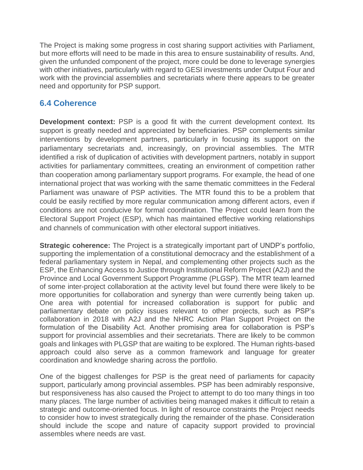The Project is making some progress in cost sharing support activities with Parliament, but more efforts will need to be made in this area to ensure sustainability of results. And, given the unfunded component of the project, more could be done to leverage synergies with other initiatives, particularly with regard to GESI investments under Output Four and work with the provincial assemblies and secretariats where there appears to be greater need and opportunity for PSP support.

# **6.4 Coherence**

**Development context:** PSP is a good fit with the current development context. Its support is greatly needed and appreciated by beneficiaries. PSP complements similar interventions by development partners, particularly in focusing its support on the parliamentary secretariats and, increasingly, on provincial assemblies. The MTR identified a risk of duplication of activities with development partners, notably in support activities for parliamentary committees, creating an environment of competition rather than cooperation among parliamentary support programs. For example, the head of one international project that was working with the same thematic committees in the Federal Parliament was unaware of PSP activities. The MTR found this to be a problem that could be easily rectified by more regular communication among different actors, even if conditions are not conducive for formal coordination. The Project could learn from the Electoral Support Project (ESP), which has maintained effective working relationships and channels of communication with other electoral support initiatives.

**Strategic coherence:** The Project is a strategically important part of UNDP's portfolio, supporting the implementation of a constitutional democracy and the establishment of a federal parliamentary system in Nepal, and complementing other projects such as the ESP, the Enhancing Access to Justice through Institutional Reform Project (A2J) and the Province and Local Government Support Programme (PLGSP). The MTR team learned of some inter-project collaboration at the activity level but found there were likely to be more opportunities for collaboration and synergy than were currently being taken up. One area with potential for increased collaboration is support for public and parliamentary debate on policy issues relevant to other projects, such as PSP's collaboration in 2018 with A2J and the NHRC Action Plan Support Project on the formulation of the Disability Act. Another promising area for collaboration is PSP's support for provincial assemblies and their secretariats. There are likely to be common goals and linkages with PLGSP that are waiting to be explored. The Human rights-based approach could also serve as a common framework and language for greater coordination and knowledge sharing across the portfolio.

One of the biggest challenges for PSP is the great need of parliaments for capacity support, particularly among provincial assembles. PSP has been admirably responsive, but responsiveness has also caused the Project to attempt to do too many things in too many places. The large number of activities being managed makes it difficult to retain a strategic and outcome-oriented focus. In light of resource constraints the Project needs to consider how to invest strategically during the remainder of the phase. Consideration should include the scope and nature of capacity support provided to provincial assembles where needs are vast.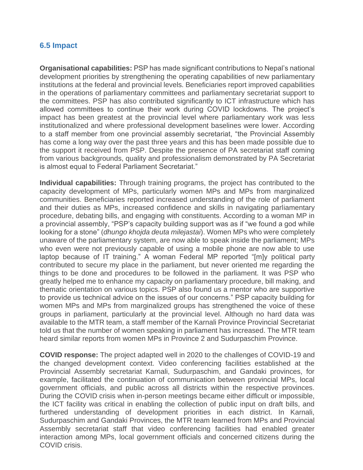## **6.5 Impact**

**Organisational capabilities:** PSP has made significant contributions to Nepal's national development priorities by strengthening the operating capabilities of new parliamentary institutions at the federal and provincial levels. Beneficiaries report improved capabilities in the operations of parliamentary committees and parliamentary secretariat support to the committees. PSP has also contributed significantly to ICT infrastructure which has allowed committees to continue their work during COVID lockdowns. The project's impact has been greatest at the provincial level where parliamentary work was less institutionalized and where professional development baselines were lower. According to a staff member from one provincial assembly secretariat, "the Provincial Assembly has come a long way over the past three years and this has been made possible due to the support it received from PSP. Despite the presence of PA secretariat staff coming from various backgrounds, quality and professionalism demonstrated by PA Secretariat is almost equal to Federal Parliament Secretariat."

**Individual capabilities:** Through training programs, the project has contributed to the capacity development of MPs, particularly women MPs and MPs from marginalized communities. Beneficiaries reported increased understanding of the role of parliament and their duties as MPs, increased confidence and skills in navigating parliamentary procedure, debating bills, and engaging with constituents. According to a woman MP in a provincial assembly, "PSP's capacity building support was as if "we found a god while looking for a stone" (*dhungo khojda deuta milejastai*). Women MPs who were completely unaware of the parliamentary system, are now able to speak inside the parliament; MPs who even were not previously capable of using a mobile phone are now able to use laptop because of IT training." A woman Federal MP reported "[m]y political party contributed to secure my place in the parliament, but never oriented me regarding the things to be done and procedures to be followed in the parliament. It was PSP who greatly helped me to enhance my capacity on parliamentary procedure, bill making, and thematic orientation on various topics. PSP also found us a mentor who are supportive to provide us technical advice on the issues of our concerns." PSP capacity building for women MPs and MPs from marginalized groups has strengthened the voice of these groups in parliament, particularly at the provincial level. Although no hard data was available to the MTR team, a staff member of the Karnali Province Provincial Secretariat told us that the number of women speaking in parliament has increased. The MTR team heard similar reports from women MPs in Province 2 and Sudurpaschim Province.

**COVID response:** The project adapted well in 2020 to the challenges of COVID-19 and the changed development context. Video conferencing facilities established at the Provincial Assembly secretariat Karnali, Sudurpaschim, and Gandaki provinces, for example, facilitated the continuation of communication between provincial MPs, local government officials, and public across all districts within the respective provinces. During the COVID crisis when in-person meetings became either difficult or impossible, the ICT facility was critical in enabling the collection of public input on draft bills, and furthered understanding of development priorities in each district. In Karnali, Sudurpaschim and Gandaki Provinces, the MTR team learned from MPs and Provincial Assembly secretariat staff that video conferencing facilities had enabled greater interaction among MPs, local government officials and concerned citizens during the COVID crisis.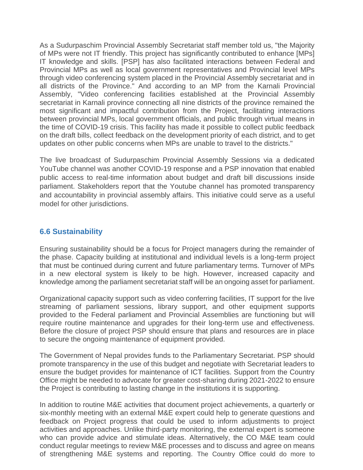As a Sudurpaschim Provincial Assembly Secretariat staff member told us, "the Majority of MPs were not IT friendly. This project has significantly contributed to enhance [MPs] IT knowledge and skills. [PSP] has also facilitated interactions between Federal and Provincial MPs as well as local government representatives and Provincial level MPs through video conferencing system placed in the Provincial Assembly secretariat and in all districts of the Province." And according to an MP from the Karnali Provincial Assembly, "Video conferencing facilities established at the Provincial Assembly secretariat in Karnali province connecting all nine districts of the province remained the most significant and impactful contribution from the Project, facilitating interactions between provincial MPs, local government officials, and public through virtual means in the time of COVID-19 crisis. This facility has made it possible to collect public feedback on the draft bills, collect feedback on the development priority of each district, and to get updates on other public concerns when MPs are unable to travel to the districts."

The live broadcast of Sudurpaschim Provincial Assembly Sessions via a dedicated YouTube channel was another COVID-19 response and a PSP innovation that enabled public access to real-time information about budget and draft bill discussions inside parliament. Stakeholders report that the Youtube channel has promoted transparency and accountability in provincial assembly affairs. This initiative could serve as a useful model for other jurisdictions.

## **6.6 Sustainability**

Ensuring sustainability should be a focus for Project managers during the remainder of the phase. Capacity building at institutional and individual levels is a long-term project that must be continued during current and future parliamentary terms. Turnover of MPs in a new electoral system is likely to be high. However, increased capacity and knowledge among the parliament secretariat staff will be an ongoing asset for parliament.

Organizational capacity support such as video conferring facilities, IT support for the live streaming of parliament sessions, library support, and other equipment supports provided to the Federal parliament and Provincial Assemblies are functioning but will require routine maintenance and upgrades for their long-term use and effectiveness. Before the closure of project PSP should ensure that plans and resources are in place to secure the ongoing maintenance of equipment provided.

The Government of Nepal provides funds to the Parliamentary Secretariat. PSP should promote transparency in the use of this budget and negotiate with Secretariat leaders to ensure the budget provides for maintenance of ICT facilities. Support from the Country Office might be needed to advocate for greater cost-sharing during 2021-2022 to ensure the Project is contributing to lasting change in the institutions it is supporting.

In addition to routine M&E activities that document project achievements, a quarterly or six-monthly meeting with an external M&E expert could help to generate questions and feedback on Project progress that could be used to inform adjustments to project activities and approaches. Unlike third-party monitoring, the external expert is someone who can provide advice and stimulate ideas. Alternatively, the CO M&E team could conduct regular meetings to review M&E processes and to discuss and agree on means of strengthening M&E systems and reporting. The Country Office could do more to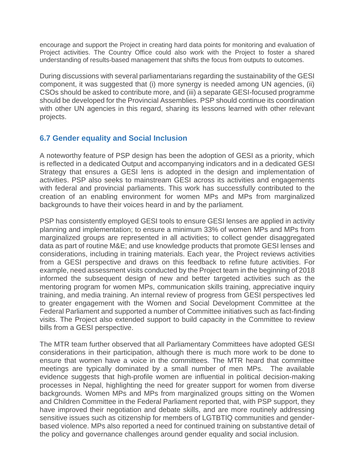encourage and support the Project in creating hard data points for monitoring and evaluation of Project activities. The Country Office could also work with the Project to foster a shared understanding of results-based management that shifts the focus from outputs to outcomes.

During discussions with several parliamentarians regarding the sustainability of the GESI component, it was suggested that (i) more synergy is needed among UN agencies, (ii) CSOs should be asked to contribute more, and (iii) a separate GESI-focused programme should be developed for the Provincial Assemblies. PSP should continue its coordination with other UN agencies in this regard, sharing its lessons learned with other relevant projects.

## **6.7 Gender equality and Social Inclusion**

A noteworthy feature of PSP design has been the adoption of GESI as a priority, which is reflected in a dedicated Output and accompanying indicators and in a dedicated GESI Strategy that ensures a GESI lens is adopted in the design and implementation of activities. PSP also seeks to mainstream GESI across its activities and engagements with federal and provincial parliaments. This work has successfully contributed to the creation of an enabling environment for women MPs and MPs from marginalized backgrounds to have their voices heard in and by the parliament.

PSP has consistently employed GESI tools to ensure GESI lenses are applied in activity planning and implementation; to ensure a minimum 33% of women MPs and MPs from marginalized groups are represented in all activities; to collect gender disaggregated data as part of routine M&E; and use knowledge products that promote GESI lenses and considerations, including in training materials. Each year, the Project reviews activities from a GESI perspective and draws on this feedback to refine future activities. For example, need assessment visits conducted by the Project team in the beginning of 2018 informed the subsequent design of new and better targeted activities such as the mentoring program for women MPs, communication skills training, appreciative inquiry training, and media training. An internal review of progress from GESI perspectives led to greater engagement with the Women and Social Development Committee at the Federal Parliament and supported a number of Committee initiatives such as fact-finding visits. The Project also extended support to build capacity in the Committee to review bills from a GESI perspective.

The MTR team further observed that all Parliamentary Committees have adopted GESI considerations in their participation, although there is much more work to be done to ensure that women have a voice in the committees. The MTR heard that committee meetings are typically dominated by a small number of men MPs. The available evidence suggests that high-profile women are influential in political decision-making processes in Nepal, highlighting the need for greater support for women from diverse backgrounds. Women MPs and MPs from marginalized groups sitting on the Women and Children Committee in the Federal Parliament reported that, with PSP support, they have improved their negotiation and debate skills, and are more routinely addressing sensitive issues such as citizenship for members of LGTBTIQ communities and genderbased violence. MPs also reported a need for continued training on substantive detail of the policy and governance challenges around gender equality and social inclusion.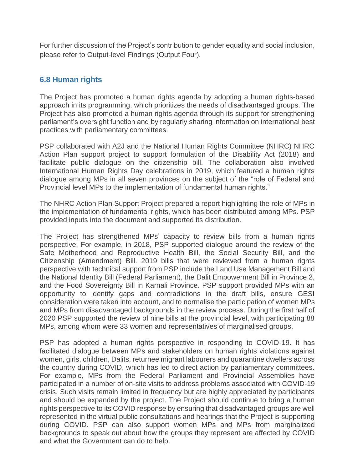For further discussion of the Project's contribution to gender equality and social inclusion, please refer to Output-level Findings (Output Four).

## **6.8 Human rights**

The Project has promoted a human rights agenda by adopting a human rights-based approach in its programming, which prioritizes the needs of disadvantaged groups. The Project has also promoted a human rights agenda through its support for strengthening parliament's oversight function and by regularly sharing information on international best practices with parliamentary committees.

PSP collaborated with A2J and the National Human Rights Committee (NHRC) NHRC Action Plan support project to support formulation of the Disability Act (2018) and facilitate public dialogue on the citizenship bill. The collaboration also involved International Human Rights Day celebrations in 2019, which featured a human rights dialogue among MPs in all seven provinces on the subject of the "role of Federal and Provincial level MPs to the implementation of fundamental human rights."

The NHRC Action Plan Support Project prepared a report highlighting the role of MPs in the implementation of fundamental rights, which has been distributed among MPs. PSP provided inputs into the document and supported its distribution.

The Project has strengthened MPs' capacity to review bills from a human rights perspective. For example, in 2018, PSP supported dialogue around the review of the Safe Motherhood and Reproductive Health Bill, the Social Security Bill, and the Citizenship (Amendment) Bill. 2019 bills that were reviewed from a human rights perspective with technical support from PSP include the Land Use Management Bill and the National Identity Bill (Federal Parliament), the Dalit Empowerment Bill in Province 2, and the Food Sovereignty Bill in Karnali Province. PSP support provided MPs with an opportunity to identify gaps and contradictions in the draft bills, ensure GESI consideration were taken into account, and to normalise the participation of women MPs and MPs from disadvantaged backgrounds in the review process. During the first half of 2020 PSP supported the review of nine bills at the provincial level, with participating 88 MPs, among whom were 33 women and representatives of marginalised groups.

PSP has adopted a human rights perspective in responding to COVID-19. It has facilitated dialogue between MPs and stakeholders on human rights violations against women, girls, children, Dalits, returnee migrant labourers and quarantine dwellers across the country during COVID, which has led to direct action by parliamentary committees. For example, MPs from the Federal Parliament and Provincial Assemblies have participated in a number of on-site visits to address problems associated with COVID-19 crisis. Such visits remain limited in frequency but are highly appreciated by participants and should be expanded by the project. The Project should continue to bring a human rights perspective to its COVID response by ensuring that disadvantaged groups are well represented in the virtual public consultations and hearings that the Project is supporting during COVID. PSP can also support women MPs and MPs from marginalized backgrounds to speak out about how the groups they represent are affected by COVID and what the Government can do to help.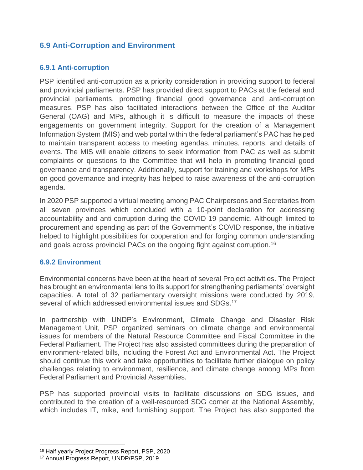# **6.9 Anti-Corruption and Environment**

## **6.9.1 Anti-corruption**

PSP identified anti-corruption as a priority consideration in providing support to federal and provincial parliaments. PSP has provided direct support to PACs at the federal and provincial parliaments, promoting financial good governance and anti-corruption measures. PSP has also facilitated interactions between the Office of the Auditor General (OAG) and MPs, although it is difficult to measure the impacts of these engagements on government integrity. Support for the creation of a Management Information System (MIS) and web portal within the federal parliament's PAC has helped to maintain transparent access to meeting agendas, minutes, reports, and details of events. The MIS will enable citizens to seek information from PAC as well as submit complaints or questions to the Committee that will help in promoting financial good governance and transparency. Additionally, support for training and workshops for MPs on good governance and integrity has helped to raise awareness of the anti-corruption agenda.

In 2020 PSP supported a virtual meeting among PAC Chairpersons and Secretaries from all seven provinces which concluded with a 10-point declaration for addressing accountability and anti-corruption during the COVID-19 pandemic. Although limited to procurement and spending as part of the Government's COVID response, the initiative helped to highlight possibilities for cooperation and for forging common understanding and goals across provincial PACs on the ongoing fight against corruption.<sup>16</sup>

## **6.9.2 Environment**

Environmental concerns have been at the heart of several Project activities. The Project has brought an environmental lens to its support for strengthening parliaments' oversight capacities. A total of 32 parliamentary oversight missions were conducted by 2019, several of which addressed environmental issues and SDGs.<sup>17</sup>

In partnership with UNDP's Environment, Climate Change and Disaster Risk Management Unit, PSP organized seminars on climate change and environmental issues for members of the Natural Resource Committee and Fiscal Committee in the Federal Parliament. The Project has also assisted committees during the preparation of environment-related bills, including the Forest Act and Environmental Act. The Project should continue this work and take opportunities to facilitate further dialogue on policy challenges relating to environment, resilience, and climate change among MPs from Federal Parliament and Provincial Assemblies.

PSP has supported provincial visits to facilitate discussions on SDG issues, and contributed to the creation of a well-resourced SDG corner at the National Assembly, which includes IT, mike, and furnishing support. The Project has also supported the

<sup>16</sup> Half yearly Project Progress Report, PSP, 2020

<sup>17</sup> Annual Progress Report, UNDP/PSP, 2019.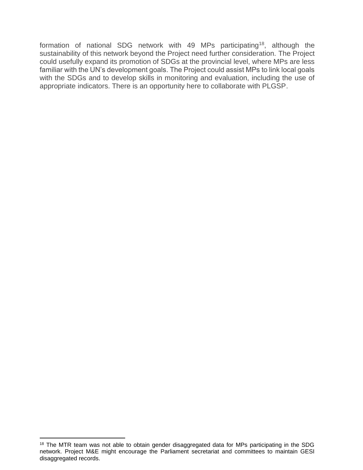formation of national SDG network with 49 MPs participating<sup>18</sup>, although the sustainability of this network beyond the Project need further consideration. The Project could usefully expand its promotion of SDGs at the provincial level, where MPs are less familiar with the UN's development goals. The Project could assist MPs to link local goals with the SDGs and to develop skills in monitoring and evaluation, including the use of appropriate indicators. There is an opportunity here to collaborate with PLGSP.

<sup>&</sup>lt;sup>18</sup> The MTR team was not able to obtain gender disaggregated data for MPs participating in the SDG network. Project M&E might encourage the Parliament secretariat and committees to maintain GESI disaggregated records.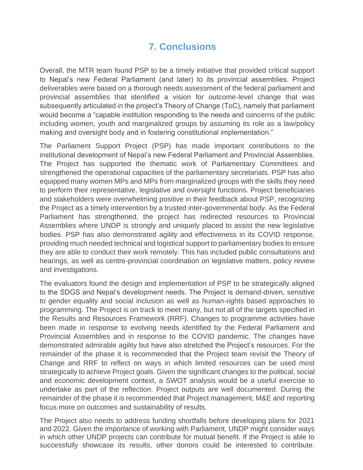# **7. Conclusions**

Overall, the MTR team found PSP to be a timely initiative that provided critical support to Nepal's new Federal Parliament (and later) to its provincial assemblies. Project deliverables were based on a thorough needs assessment of the federal parliament and provincial assemblies that identified a vision for outcome-level change that was subsequently articulated in the project's Theory of Change (ToC), namely that parliament would become a "capable institution responding to the needs and concerns of the public including women, youth and marginalized groups by assuming its role as a law/policy making and oversight body and in fostering constitutional implementation."

The Parliament Support Project (PSP) has made important contributions to the institutional development of Nepal's new Federal Parliament and Provincial Assemblies. The Project has supported the thematic work of Parliamentary Committees and strengthened the operational capacities of the parliamentary secretariats. PSP has also equipped many women MPs and MPs from marginalized groups with the skills they need to perform their representative, legislative and oversight functions. Project beneficiaries and stakeholders were overwhelming positive in their feedback about PSP, recognizing the Project as a timely intervention by a trusted inter-governmental body. As the Federal Parliament has strengthened, the project has redirected resources to Provincial Assemblies where UNDP is strongly and uniquely placed to assist the new legislative bodies. PSP has also demonstrated agility and effectiveness in its COVID response, providing much needed technical and logistical support to parliamentary bodies to ensure they are able to conduct their work remotely. This has included public consultations and hearings, as well as centre-provincial coordination on legislative matters, policy review and investigations.

The evaluators found the design and implementation of PSP to be strategically aligned to the SDGS and Nepal's development needs. The Project is demand-driven, sensitive to gender equality and social inclusion as well as human-rights based approaches to programming. The Project is on track to meet many, but not all of the targets specified in the Results and Resources Framework (RRF). Changes to programme activities have been made in response to evolving needs identified by the Federal Parliament and Provincial Assemblies and in response to the COVID pandemic. The changes have demonstrated admirable agility but have also stretched the Project's resources. For the remainder of the phase it is recommended that the Project team revisit the Theory of Change and RRF to reflect on ways in which limited resources can be used most strategically to achieve Project goals. Given the significant changes to the political, social and economic development context, a SWOT analysis would be a useful exercise to undertake as part of the reflection. Project outputs are well documented. During the remainder of the phase it is recommended that Project management, M&E and reporting focus more on outcomes and sustainability of results.

The Project also needs to address funding shortfalls before developing plans for 2021 and 2022. Given the importance of working with Parliament, UNDP might consider ways in which other UNDP projects can contribute for mutual benefit. If the Project is able to successfully showcase its results, other donors could be interested to contribute.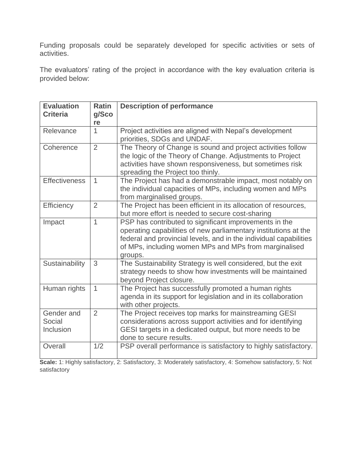Funding proposals could be separately developed for specific activities or sets of activities.

The evaluators' rating of the project in accordance with the key evaluation criteria is provided below:

| <b>Evaluation</b><br><b>Criteria</b> | <b>Ratin</b><br>g/Sco<br>re | <b>Description of performance</b>                                                                                                                                                                                                                                  |
|--------------------------------------|-----------------------------|--------------------------------------------------------------------------------------------------------------------------------------------------------------------------------------------------------------------------------------------------------------------|
| Relevance                            | $\mathbf{1}$                | Project activities are aligned with Nepal's development<br>priorities, SDGs and UNDAF.                                                                                                                                                                             |
| Coherence                            | $\overline{2}$              | The Theory of Change is sound and project activities follow<br>the logic of the Theory of Change. Adjustments to Project<br>activities have shown responsiveness, but sometimes risk<br>spreading the Project too thinly.                                          |
| <b>Effectiveness</b>                 | $\mathbf{1}$                | The Project has had a demonstrable impact, most notably on<br>the individual capacities of MPs, including women and MPs<br>from marginalised groups.                                                                                                               |
| Efficiency                           | $\overline{2}$              | The Project has been efficient in its allocation of resources,<br>but more effort is needed to secure cost-sharing                                                                                                                                                 |
| Impact                               | $\mathbf{1}$                | PSP has contributed to significant improvements in the<br>operating capabilities of new parliamentary institutions at the<br>federal and provincial levels, and in the individual capabilities<br>of MPs, including women MPs and MPs from marginalised<br>groups. |
| Sustainability                       | 3                           | The Sustainability Strategy is well considered, but the exit<br>strategy needs to show how investments will be maintained<br>beyond Project closure.                                                                                                               |
| Human rights                         | $\mathbf{1}$                | The Project has successfully promoted a human rights<br>agenda in its support for legislation and in its collaboration<br>with other projects.                                                                                                                     |
| Gender and<br>Social<br>Inclusion    | $\overline{2}$              | The Project receives top marks for mainstreaming GESI<br>considerations across support activities and for identifying<br>GESI targets in a dedicated output, but more needs to be<br>done to secure results.                                                       |
| Overall                              | 1/2                         | PSP overall performance is satisfactory to highly satisfactory.                                                                                                                                                                                                    |

**Scale:** 1: Highly satisfactory, 2: Satisfactory, 3: Moderately satisfactory, 4: Somehow satisfactory, 5: Not satisfactory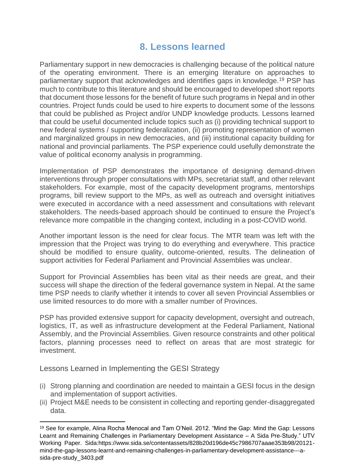# **8. Lessons learned**

Parliamentary support in new democracies is challenging because of the political nature of the operating environment. There is an emerging literature on approaches to parliamentary support that acknowledges and identifies gaps in knowledge.<sup>19</sup> PSP has much to contribute to this literature and should be encouraged to developed short reports that document those lessons for the benefit of future such programs in Nepal and in other countries. Project funds could be used to hire experts to document some of the lessons that could be published as Project and/or UNDP knowledge products. Lessons learned that could be useful documented include topics such as (i) providing technical support to new federal systems / supporting federalization, (ii) promoting representation of women and marginalized groups in new democracies, and (iii) institutional capacity building for national and provincial parliaments. The PSP experience could usefully demonstrate the value of political economy analysis in programming.

Implementation of PSP demonstrates the importance of designing demand-driven interventions through proper consultations with MPs, secretariat staff, and other relevant stakeholders. For example, most of the capacity development programs, mentorships programs, bill review support to the MPs, as well as outreach and oversight initiatives were executed in accordance with a need assessment and consultations with relevant stakeholders. The needs-based approach should be continued to ensure the Project's relevance more compatible in the changing context, including in a post-COVID world.

Another important lesson is the need for clear focus. The MTR team was left with the impression that the Project was trying to do everything and everywhere. This practice should be modified to ensure quality, outcome-oriented, results. The delineation of support activities for Federal Parliament and Provincial Assemblies was unclear.

Support for Provincial Assemblies has been vital as their needs are great, and their success will shape the direction of the federal governance system in Nepal. At the same time PSP needs to clarify whether it intends to cover all seven Provincial Assemblies or use limited resources to do more with a smaller number of Provinces.

PSP has provided extensive support for capacity development, oversight and outreach, logistics, IT, as well as infrastructure development at the Federal Parliament, National Assembly, and the Provincial Assemblies. Given resource constraints and other political factors, planning processes need to reflect on areas that are most strategic for investment.

Lessons Learned in Implementing the GESI Strategy

- (i) Strong planning and coordination are needed to maintain a GESI focus in the design and implementation of support activities.
- (ii) Project M&E needs to be consistent in collecting and reporting gender-disaggregated data.

<sup>19</sup> See for example, Alina Rocha Menocal and Tam O'Neil. 2012. "Mind the Gap: Mind the Gap: Lessons Learnt and Remaining Challenges in Parliamentary Development Assistance – A Sida Pre-Study." UTV Working Paper. Sida:https://www.sida.se/contentassets/828b20d196de45c7986707aaae353b98/20121 mind-the-gap-lessons-learnt-and-remaining-challenges-in-parliamentary-development-assistance---asida-pre-study\_3403.pdf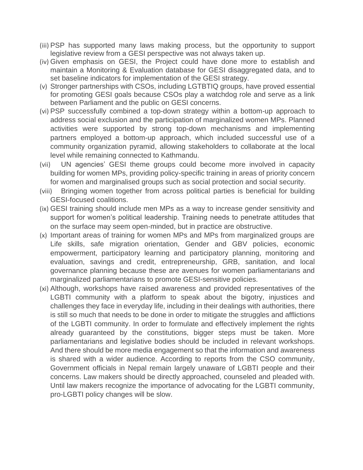- (iii) PSP has supported many laws making process, but the opportunity to support legislative review from a GESI perspective was not always taken up.
- (iv) Given emphasis on GESI, the Project could have done more to establish and maintain a Monitoring & Evaluation database for GESI disaggregated data, and to set baseline indicators for implementation of the GESI strategy.
- (v) Stronger partnerships with CSOs, including LGTBTIQ groups, have proved essential for promoting GESI goals because CSOs play a watchdog role and serve as a link between Parliament and the public on GESI concerns.
- (vi) PSP successfully combined a top-down strategy within a bottom-up approach to address social exclusion and the participation of marginalized women MPs. Planned activities were supported by strong top-down mechanisms and implementing partners employed a bottom-up approach, which included successful use of a community organization pyramid, allowing stakeholders to collaborate at the local level while remaining connected to Kathmandu.
- (vii) UN agencies' GESI theme groups could become more involved in capacity building for women MPs, providing policy-specific training in areas of priority concern for women and marginalised groups such as social protection and social security.
- (viii) Bringing women together from across political parties is beneficial for building GESI-focused coalitions.
- (ix) GESI training should include men MPs as a way to increase gender sensitivity and support for women's political leadership. Training needs to penetrate attitudes that on the surface may seem open-minded, but in practice are obstructive.
- (x) Important areas of training for women MPs and MPs from marginalized groups are Life skills, safe migration orientation, Gender and GBV policies, economic empowerment, participatory learning and participatory planning, monitoring and evaluation, savings and credit, entrepreneurship, GRB, sanitation, and local governance planning because these are avenues for women parliamentarians and marginalized parliamentarians to promote GESI-sensitive policies.
- (xi) Although, workshops have raised awareness and provided representatives of the LGBTI community with a platform to speak about the bigotry, injustices and challenges they face in everyday life, including in their dealings with authorities, there is still so much that needs to be done in order to mitigate the struggles and afflictions of the LGBTI community. In order to formulate and effectively implement the rights already guaranteed by the constitutions, bigger steps must be taken. More parliamentarians and legislative bodies should be included in relevant workshops. And there should be more media engagement so that the information and awareness is shared with a wider audience. According to reports from the CSO community, Government officials in Nepal remain largely unaware of LGBTI people and their concerns. Law makers should be directly approached, counseled and pleaded with. Until law makers recognize the importance of advocating for the LGBTI community, pro-LGBTI policy changes will be slow.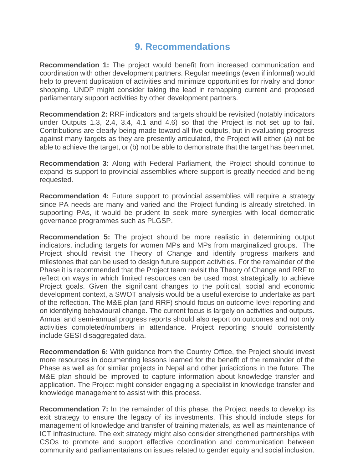# **9. Recommendations**

**Recommendation 1:** The project would benefit from increased communication and coordination with other development partners. Regular meetings (even if informal) would help to prevent duplication of activities and minimize opportunities for rivalry and donor shopping. UNDP might consider taking the lead in remapping current and proposed parliamentary support activities by other development partners.

**Recommendation 2:** RRF indicators and targets should be revisited (notably indicators under Outputs 1.3, 2.4, 3.4, 4.1 and 4.6) so that the Project is not set up to fail. Contributions are clearly being made toward all five outputs, but in evaluating progress against many targets as they are presently articulated, the Project will either (a) not be able to achieve the target, or (b) not be able to demonstrate that the target has been met.

**Recommendation 3:** Along with Federal Parliament, the Project should continue to expand its support to provincial assemblies where support is greatly needed and being requested.

**Recommendation 4:** Future support to provincial assemblies will require a strategy since PA needs are many and varied and the Project funding is already stretched. In supporting PAs, it would be prudent to seek more synergies with local democratic governance programmes such as PLGSP.

**Recommendation 5:** The project should be more realistic in determining output indicators, including targets for women MPs and MPs from marginalized groups. The Project should revisit the Theory of Change and identify progress markers and milestones that can be used to design future support activities. For the remainder of the Phase it is recommended that the Project team revisit the Theory of Change and RRF to reflect on ways in which limited resources can be used most strategically to achieve Project goals. Given the significant changes to the political, social and economic development context, a SWOT analysis would be a useful exercise to undertake as part of the reflection. The M&E plan (and RRF) should focus on outcome-level reporting and on identifying behavioural change. The current focus is largely on activities and outputs. Annual and semi-annual progress reports should also report on outcomes and not only activities completed/numbers in attendance. Project reporting should consistently include GESI disaggregated data.

**Recommendation 6:** With guidance from the Country Office, the Project should invest more resources in documenting lessons learned for the benefit of the remainder of the Phase as well as for similar projects in Nepal and other jurisdictions in the future. The M&E plan should be improved to capture information about knowledge transfer and application. The Project might consider engaging a specialist in knowledge transfer and knowledge management to assist with this process.

**Recommendation 7:** In the remainder of this phase, the Project needs to develop its exit strategy to ensure the legacy of its investments. This should include steps for management of knowledge and transfer of training materials, as well as maintenance of ICT infrastructure. The exit strategy might also consider strengthened partnerships with CSOs to promote and support effective coordination and communication between community and parliamentarians on issues related to gender equity and social inclusion.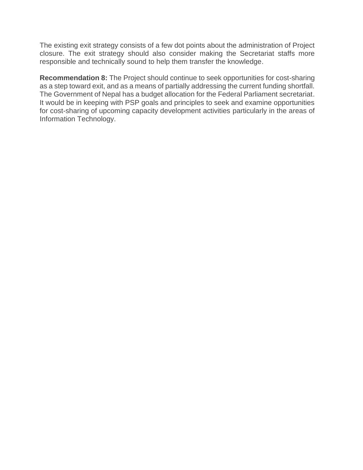The existing exit strategy consists of a few dot points about the administration of Project closure. The exit strategy should also consider making the Secretariat staffs more responsible and technically sound to help them transfer the knowledge.

**Recommendation 8:** The Project should continue to seek opportunities for cost-sharing as a step toward exit, and as a means of partially addressing the current funding shortfall. The Government of Nepal has a budget allocation for the Federal Parliament secretariat. It would be in keeping with PSP goals and principles to seek and examine opportunities for cost-sharing of upcoming capacity development activities particularly in the areas of Information Technology.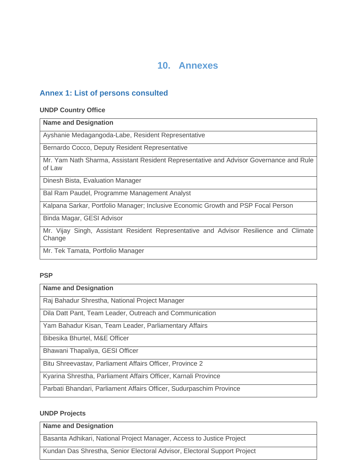# **10. Annexes**

## **Annex 1: List of persons consulted**

#### **UNDP Country Office**

#### **Name and Designation**

Ayshanie Medagangoda-Labe, Resident Representative

Bernardo Cocco, Deputy Resident Representative

Mr. Yam Nath Sharma, Assistant Resident Representative and Advisor Governance and Rule of Law

Dinesh Bista, Evaluation Manager

Bal Ram Paudel, Programme Management Analyst

Kalpana Sarkar, Portfolio Manager; Inclusive Economic Growth and PSP Focal Person

Binda Magar, GESI Advisor

Mr. Vijay Singh, Assistant Resident Representative and Advisor Resilience and Climate Change

Mr. Tek Tamata, Portfolio Manager

#### **PSP**

#### **Name and Designation**

Raj Bahadur Shrestha, National Project Manager

Dila Datt Pant, Team Leader, Outreach and Communication

Yam Bahadur Kisan, Team Leader, Parliamentary Affairs

Bibesika Bhurtel, M&E Officer

Bhawani Thapaliya, GESI Officer

Bitu Shreevastav, Parliament Affairs Officer, Province 2

Kyarina Shrestha, Parliament Affairs Officer, Karnali Province

Parbati Bhandari, Parliament Affairs Officer, Sudurpaschim Province

#### **UNDP Projects**

**Name and Designation**

Basanta Adhikari, National Project Manager, Access to Justice Project

Kundan Das Shrestha, Senior Electoral Advisor, Electoral Support Project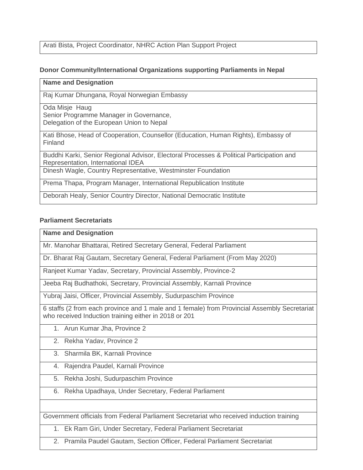Arati Bista, Project Coordinator, NHRC Action Plan Support Project

## **Donor Community/International Organizations supporting Parliaments in Nepal**

## **Name and Designation**

Raj Kumar Dhungana, Royal Norwegian Embassy

Oda Misje Haug Senior Programme Manager in Governance, Delegation of the European Union to Nepal

Kati Bhose, Head of Cooperation, Counsellor (Education, Human Rights), Embassy of Finland

Buddhi Karki, Senior Regional Advisor, Electoral Processes & Political Participation and Representation, International IDEA

Dinesh Wagle, Country Representative, Westminster Foundation

Prema Thapa, Program Manager, International Republication Institute

Deborah Healy, Senior Country Director, National Democratic Institute

### **Parliament Secretariats**

#### **Name and Designation**

Mr. Manohar Bhattarai, Retired Secretary General, Federal Parliament

Dr. Bharat Raj Gautam, Secretary General, Federal Parliament (From May 2020)

Ranjeet Kumar Yadav, Secretary, Provincial Assembly, Province-2

Jeeba Raj Budhathoki, Secretary, Provincial Assembly, Karnali Province

Yubraj Jaisi, Officer, Provincial Assembly, Sudurpaschim Province

6 staffs (2 from each province and 1 male and 1 female) from Provincial Assembly Secretariat who received Induction training either in 2018 or 201

1. Arun Kumar Jha, Province 2

## 2. Rekha Yadav, Province 2

- 3. Sharmila BK, Karnali Province
- 4. Rajendra Paudel, Karnali Province
- 5. Rekha Joshi, Sudurpaschim Province
- 6. Rekha Upadhaya, Under Secretary, Federal Parliament

Government officials from Federal Parliament Secretariat who received induction training

- 1. Ek Ram Giri, Under Secretary, Federal Parliament Secretariat
- 2. Pramila Paudel Gautam, Section Officer, Federal Parliament Secretariat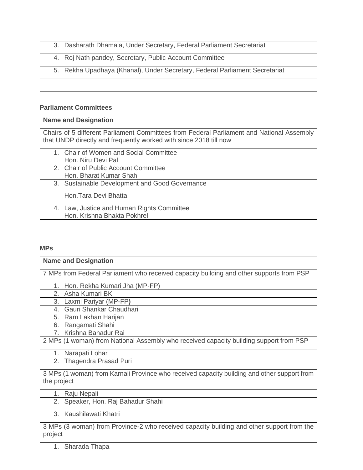- 3. Dasharath Dhamala, Under Secretary, Federal Parliament Secretariat
- 4. Roj Nath pandey, Secretary, Public Account Committee
- 5. Rekha Upadhaya (Khanal), Under Secretary, Federal Parliament Secretariat

### **Parliament Committees**

#### **Name and Designation**

Chairs of 5 different Parliament Committees from Federal Parliament and National Assembly that UNDP directly and frequently worked with since 2018 till now

- 1. Chair of Women and Social Committee Hon. Niru Devi Pal
- 2. Chair of Public Account Committee Hon. Bharat Kumar Shah
- 3. Sustainable Development and Good Governance

Hon.Tara Devi Bhatta

4. Law, Justice and Human Rights Committee Hon. Krishna Bhakta Pokhrel

## **MPs**

| <b>Name and Designation</b>                                                                          |
|------------------------------------------------------------------------------------------------------|
| 7 MPs from Federal Parliament who received capacity building and other supports from PSP             |
| 1. Hon. Rekha Kumari Jha (MP-FP)                                                                     |
| Asha Kumari BK<br>2.                                                                                 |
| 3. Laxmi Pariyar (MP-FP)                                                                             |
| Gauri Shankar Chaudhari<br>4.                                                                        |
| 5. Ram Lakhan Harijan                                                                                |
| Rangamati Shahi<br>6.                                                                                |
| Krishna Bahadur Rai<br>7 <sup>1</sup>                                                                |
| 2 MPs (1 woman) from National Assembly who received capacity building support from PSP               |
| Narapati Lohar<br>1.                                                                                 |
| Thagendra Prasad Puri<br>2.                                                                          |
| 3 MPs (1 woman) from Karnali Province who received capacity building and other support from          |
| the project                                                                                          |
| 1.<br>Raju Nepali                                                                                    |
| 2. Speaker, Hon. Raj Bahadur Shahi                                                                   |
| 3.<br>Kaushilawati Khatri                                                                            |
| 3 MPs (3 woman) from Province-2 who received capacity building and other support from the<br>project |

1. Sharada Thapa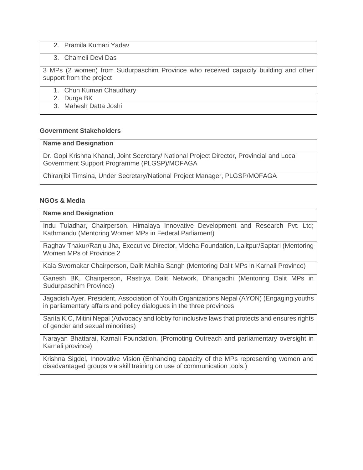2. Pramila Kumari Yadav

#### 3. Chameli Devi Das

3 MPs (2 women) from Sudurpaschim Province who received capacity building and other support from the project

1. Chun Kumari Chaudhary

2. Durga BK

3. Mahesh Datta Joshi

#### **Government Stakeholders**

#### **Name and Designation**

Dr. Gopi Krishna Khanal, Joint Secretary/ National Project Director, Provincial and Local Government Support Programme (PLGSP)/MOFAGA

Chiranjibi Timsina, Under Secretary/National Project Manager, PLGSP/MOFAGA

#### **NGOs & Media**

#### **Name and Designation**

Indu Tuladhar, Chairperson, Himalaya Innovative Development and Research Pvt. Ltd; Kathmandu (Mentoring Women MPs in Federal Parliament)

Raghav Thakur/Ranju Jha, Executive Director, Videha Foundation, Lalitpur/Saptari (Mentoring Women MPs of Province 2

Kala Swornakar Chairperson, Dalit Mahila Sangh (Mentoring Dalit MPs in Karnali Province)

Ganesh BK, Chairperson, Rastriya Dalit Network, Dhangadhi (Mentoring Dalit MPs in Sudurpaschim Province)

Jagadish Ayer, President, Association of Youth Organizations Nepal (AYON) (Engaging youths in parliamentary affairs and policy dialogues in the three provinces

Sarita K.C, Mitini Nepal (Advocacy and lobby for inclusive laws that protects and ensures rights of gender and sexual minorities)

Narayan Bhattarai, Karnali Foundation, (Promoting Outreach and parliamentary oversight in Karnali province)

Krishna Sigdel, Innovative Vision (Enhancing capacity of the MPs representing women and disadvantaged groups via skill training on use of communication tools.)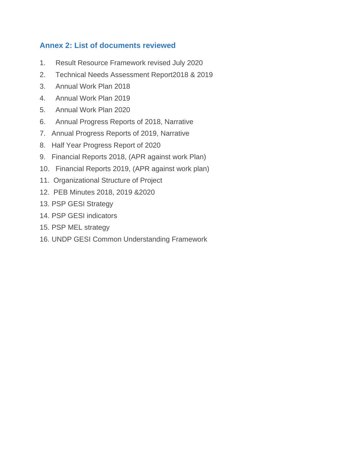## **Annex 2: List of documents reviewed**

- 1. Result Resource Framework revised July 2020
- 2. Technical Needs Assessment Report2018 & 2019
- 3. Annual Work Plan 2018
- 4. Annual Work Plan 2019
- 5. Annual Work Plan 2020
- 6. Annual Progress Reports of 2018, Narrative
- 7. Annual Progress Reports of 2019, Narrative
- 8. Half Year Progress Report of 2020
- 9. Financial Reports 2018, (APR against work Plan)
- 10. Financial Reports 2019, (APR against work plan)
- 11. Organizational Structure of Project
- 12. PEB Minutes 2018, 2019 &2020
- 13. PSP GESI Strategy
- 14. PSP GESI indicators
- 15. PSP MEL strategy
- 16. UNDP GESI Common Understanding Framework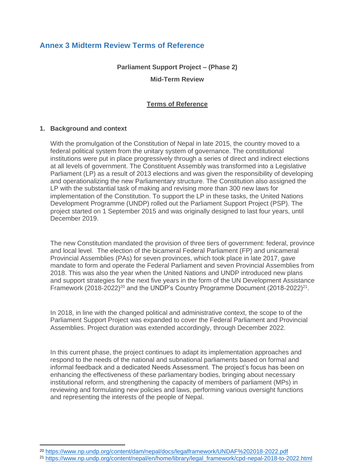## **Annex 3 Midterm Review Terms of Reference**

**Parliament Support Project – (Phase 2)**

**Mid-Term Review**

#### **Terms of Reference**

#### **1. Background and context**

With the promulgation of the Constitution of Nepal in late 2015, the country moved to a federal political system from the unitary system of governance. The constitutional institutions were put in place progressively through a series of direct and indirect elections at all levels of government. The Constituent Assembly was transformed into a Legislative Parliament (LP) as a result of 2013 elections and was given the responsibility of developing and operationalizing the new Parliamentary structure. The Constitution also assigned the LP with the substantial task of making and revising more than 300 new laws for implementation of the Constitution. To support the LP in these tasks, the United Nations Development Programme (UNDP) rolled out the Parliament Support Project (PSP). The project started on 1 September 2015 and was originally designed to last four years, until December 2019.

The new Constitution mandated the provision of three tiers of government: federal, province and local level. The election of the bicameral Federal Parliament (FP) and unicameral Provincial Assemblies (PAs) for seven provinces, which took place in late 2017, gave mandate to form and operate the Federal Parliament and seven Provincial Assemblies from 2018. This was also the year when the United Nations and UNDP introduced new plans and support strategies for the next five years in the form of the UN Development Assistance Framework (2018-2022)<sup>20</sup> and the UNDP's Country Programme Document (2018-2022)<sup>21</sup>.

In 2018, in line with the changed political and administrative context, the scope to of the Parliament Support Project was expanded to cover the Federal Parliament and Provincial Assemblies. Project duration was extended accordingly, through December 2022.

In this current phase, the project continues to adapt its implementation approaches and respond to the needs of the national and subnational parliaments based on formal and informal feedback and a dedicated Needs Assessment. The project's focus has been on enhancing the effectiveness of these parliamentary bodies, bringing about necessary institutional reform, and strengthening the capacity of members of parliament (MPs) in reviewing and formulating new policies and laws, performing various oversight functions and representing the interests of the people of Nepal.

<sup>20</sup> <https://www.np.undp.org/content/dam/nepal/docs/legalframework/UNDAF%202018-2022.pdf>

<sup>21</sup> [https://www.np.undp.org/content/nepal/en/home/library/legal\\_framework/cpd-nepal-2018-to-2022.html](https://www.np.undp.org/content/nepal/en/home/library/legal_framework/cpd-nepal-2018-to-2022.html)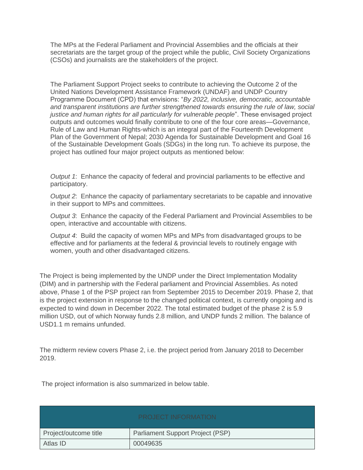The MPs at the Federal Parliament and Provincial Assemblies and the officials at their secretariats are the target group of the project while the public, Civil Society Organizations (CSOs) and journalists are the stakeholders of the project.

The Parliament Support Project seeks to contribute to achieving the Outcome 2 of the United Nations Development Assistance Framework (UNDAF) and UNDP Country Programme Document (CPD) that envisions: "*By 2022, inclusive, democratic, accountable and transparent institutions are further strengthened towards ensuring the rule of law, social justice and human rights for all particularly for vulnerable people*". These envisaged project outputs and outcomes would finally contribute to one of the four core areas—Governance, Rule of Law and Human Rights-which is an integral part of the Fourteenth Development Plan of the Government of Nepal; 2030 Agenda for Sustainable Development and Goal 16 of the Sustainable Development Goals (SDGs) in the long run. To achieve its purpose, the project has outlined four major project outputs as mentioned below:

*Output 1*: Enhance the capacity of federal and provincial parliaments to be effective and participatory.

*Output 2*: Enhance the capacity of parliamentary secretariats to be capable and innovative in their support to MPs and committees.

*Output 3*: Enhance the capacity of the Federal Parliament and Provincial Assemblies to be open, interactive and accountable with citizens.

*Output 4*: Build the capacity of women MPs and MPs from disadvantaged groups to be effective and for parliaments at the federal & provincial levels to routinely engage with women, youth and other disadvantaged citizens.

The Project is being implemented by the UNDP under the Direct Implementation Modality (DIM) and in partnership with the Federal parliament and Provincial Assemblies. As noted above, Phase 1 of the PSP project ran from September 2015 to December 2019. Phase 2, that is the project extension in response to the changed political context, is currently ongoing and is expected to wind down in December 2022. The total estimated budget of the phase 2 is 5.9 million USD, out of which Norway funds 2.8 million, and UNDP funds 2 million. The balance of USD1.1 m remains unfunded.

The midterm review covers Phase 2, i.e. the project period from January 2018 to December 2019.

The project information is also summarized in below table.

|                       | <b>PROJECT INFORMATION</b>              |
|-----------------------|-----------------------------------------|
| Project/outcome title | <b>Parliament Support Project (PSP)</b> |
| Atlas ID              | 00049635                                |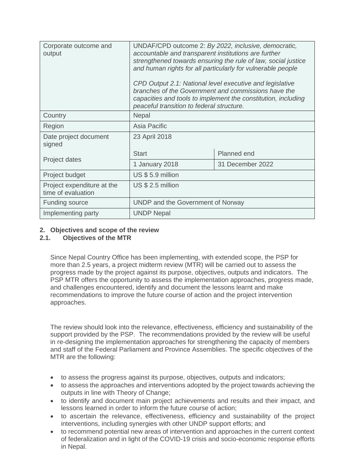| Corporate outcome and<br>output                  | UNDAF/CPD outcome 2: By 2022, inclusive, democratic,<br>accountable and transparent institutions are further<br>strengthened towards ensuring the rule of law, social justice<br>and human rights for all particularly for vulnerable people<br>CPD Output 2.1: National level executive and legislative<br>branches of the Government and commissions have the<br>capacities and tools to implement the constitution, including<br>peaceful transition to federal structure. |                  |  |  |
|--------------------------------------------------|-------------------------------------------------------------------------------------------------------------------------------------------------------------------------------------------------------------------------------------------------------------------------------------------------------------------------------------------------------------------------------------------------------------------------------------------------------------------------------|------------------|--|--|
| Country                                          | Nepal                                                                                                                                                                                                                                                                                                                                                                                                                                                                         |                  |  |  |
| Region                                           | Asia Pacific                                                                                                                                                                                                                                                                                                                                                                                                                                                                  |                  |  |  |
| Date project document<br>signed                  | 23 April 2018                                                                                                                                                                                                                                                                                                                                                                                                                                                                 |                  |  |  |
|                                                  | <b>Start</b>                                                                                                                                                                                                                                                                                                                                                                                                                                                                  | Planned end      |  |  |
| Project dates                                    | 1 January 2018                                                                                                                                                                                                                                                                                                                                                                                                                                                                | 31 December 2022 |  |  |
| Project budget                                   | US \$5.9 million                                                                                                                                                                                                                                                                                                                                                                                                                                                              |                  |  |  |
| Project expenditure at the<br>time of evaluation | US \$ 2.5 million                                                                                                                                                                                                                                                                                                                                                                                                                                                             |                  |  |  |
| <b>Funding source</b>                            | UNDP and the Government of Norway                                                                                                                                                                                                                                                                                                                                                                                                                                             |                  |  |  |
| Implementing party                               | <b>UNDP Nepal</b>                                                                                                                                                                                                                                                                                                                                                                                                                                                             |                  |  |  |

### **2. Objectives and scope of the review**

## **2.1. Objectives of the MTR**

Since Nepal Country Office has been implementing, with extended scope, the PSP for more than 2.5 years, a project midterm review (MTR) will be carried out to assess the progress made by the project against its purpose, objectives, outputs and indicators. The PSP MTR offers the opportunity to assess the implementation approaches, progress made, and challenges encountered, identify and document the lessons learnt and make recommendations to improve the future course of action and the project intervention approaches.

The review should look into the relevance, effectiveness, efficiency and sustainability of the support provided by the PSP. The recommendations provided by the review will be useful in re-designing the implementation approaches for strengthening the capacity of members and staff of the Federal Parliament and Province Assemblies. The specific objectives of the MTR are the following:

- to assess the progress against its purpose, objectives, outputs and indicators;
- to assess the approaches and interventions adopted by the project towards achieving the outputs in line with Theory of Change;
- to identify and document main project achievements and results and their impact, and lessons learned in order to inform the future course of action;
- to ascertain the relevance, effectiveness, efficiency and sustainability of the project interventions, including synergies with other UNDP support efforts; and
- to recommend potential new areas of intervention and approaches in the current context of federalization and in light of the COVID-19 crisis and socio-economic response efforts in Nepal.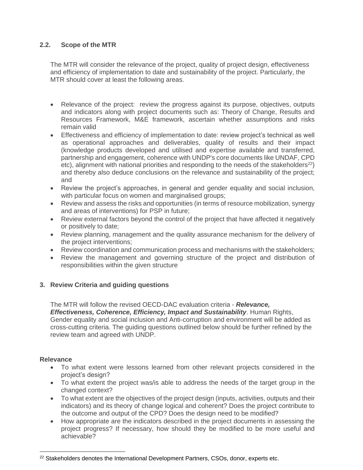## **2.2. Scope of the MTR**

The MTR will consider the relevance of the project, quality of project design, effectiveness and efficiency of implementation to date and sustainability of the project. Particularly, the MTR should cover at least the following areas.

- Relevance of the project: review the progress against its purpose, objectives, outputs and indicators along with project documents such as: Theory of Change, Results and Resources Framework, M&E framework, ascertain whether assumptions and risks remain valid
- Effectiveness and efficiency of implementation to date: review project's technical as well as operational approaches and deliverables, quality of results and their impact (knowledge products developed and utilised and expertise available and transferred, partnership and engagement, coherence with UNDP's core documents like UNDAF, CPD etc), alignment with national priorities and responding to the needs of the stakeholders<sup>22</sup>) and thereby also deduce conclusions on the relevance and sustainability of the project; and
- Review the project's approaches, in general and gender equality and social inclusion, with particular focus on women and marginalised groups;
- Review and assess the risks and opportunities (in terms of resource mobilization, synergy and areas of interventions) for PSP in future;
- Review external factors beyond the control of the project that have affected it negatively or positively to date;
- Review planning, management and the quality assurance mechanism for the delivery of the project interventions;
- Review coordination and communication process and mechanisms with the stakeholders;
- Review the management and governing structure of the project and distribution of responsibilities within the given structure

#### **3. Review Criteria and guiding questions**

The MTR will follow the revised OECD-DAC evaluation criteria - *Relevance, Effectiveness, Coherence, Efficiency, Impact and Sustainability*. Human Rights, Gender equality and social inclusion and Anti-corruption and environment will be added as cross-cutting criteria. The guiding questions outlined below should be further refined by the review team and agreed with UNDP.

#### **Relevance**

- To what extent were lessons learned from other relevant projects considered in the project's design?
- To what extent the project was/is able to address the needs of the target group in the changed context?
- To what extent are the objectives of the project design (inputs, activities, outputs and their indicators) and its theory of change logical and coherent? Does the project contribute to the outcome and output of the CPD? Does the design need to be modified?
- How appropriate are the indicators described in the project documents in assessing the project progress? If necessary, how should they be modified to be more useful and achievable?

<sup>&</sup>lt;sup>22</sup> Stakeholders denotes the International Development Partners, CSOs, donor, experts etc.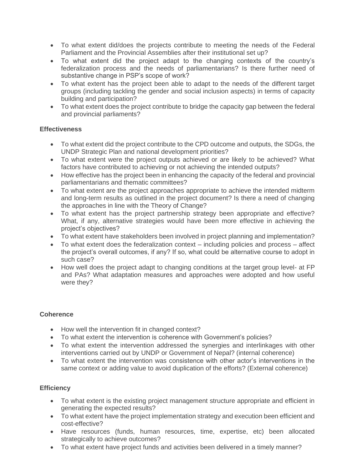- To what extent did/does the projects contribute to meeting the needs of the Federal Parliament and the Provincial Assemblies after their institutional set up?
- To what extent did the project adapt to the changing contexts of the country's federalization process and the needs of parliamentarians? Is there further need of substantive change in PSP's scope of work?
- To what extent has the project been able to adapt to the needs of the different target groups (including tackling the gender and social inclusion aspects) in terms of capacity building and participation?
- To what extent does the project contribute to bridge the capacity gap between the federal and provincial parliaments?

#### **Effectiveness**

- To what extent did the project contribute to the CPD outcome and outputs, the SDGs, the UNDP Strategic Plan and national development priorities?
- To what extent were the project outputs achieved or are likely to be achieved? What factors have contributed to achieving or not achieving the intended outputs?
- How effective has the project been in enhancing the capacity of the federal and provincial parliamentarians and thematic committees?
- To what extent are the project approaches appropriate to achieve the intended midterm and long-term results as outlined in the project document? Is there a need of changing the approaches in line with the Theory of Change?
- To what extent has the project partnership strategy been appropriate and effective? What, if any, alternative strategies would have been more effective in achieving the project's objectives?
- To what extent have stakeholders been involved in project planning and implementation?
- To what extent does the federalization context including policies and process affect the project's overall outcomes, if any? If so, what could be alternative course to adopt in such case?
- How well does the project adapt to changing conditions at the target group level- at FP and PAs? What adaptation measures and approaches were adopted and how useful were they?

## **Coherence**

- How well the intervention fit in changed context?
- To what extent the intervention is coherence with Government's policies?
- To what extent the intervention addressed the synergies and interlinkages with other interventions carried out by UNDP or Government of Nepal? (internal coherence)
- To what extent the intervention was consistence with other actor's interventions in the same context or adding value to avoid duplication of the efforts? (External coherence)

## **Efficiency**

- To what extent is the existing project management structure appropriate and efficient in generating the expected results?
- To what extent have the project implementation strategy and execution been efficient and cost-effective?
- Have resources (funds, human resources, time, expertise, etc) been allocated strategically to achieve outcomes?
- To what extent have project funds and activities been delivered in a timely manner?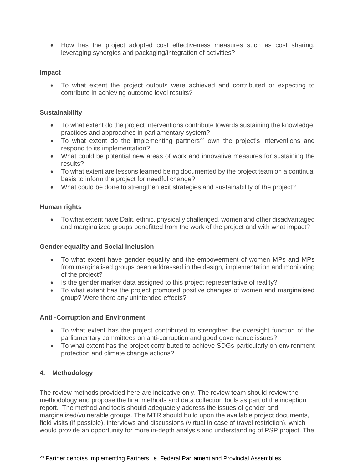• How has the project adopted cost effectiveness measures such as cost sharing, leveraging synergies and packaging/integration of activities?

#### **Impact**

• To what extent the project outputs were achieved and contributed or expecting to contribute in achieving outcome level results?

#### **Sustainability**

- To what extent do the project interventions contribute towards sustaining the knowledge, practices and approaches in parliamentary system?
- To what extent do the implementing partners<sup>23</sup> own the project's interventions and respond to its implementation?
- What could be potential new areas of work and innovative measures for sustaining the results?
- To what extent are lessons learned being documented by the project team on a continual basis to inform the project for needful change?
- What could be done to strengthen exit strategies and sustainability of the project?

#### **Human rights**

• To what extent have Dalit, ethnic, physically challenged, women and other disadvantaged and marginalized groups benefitted from the work of the project and with what impact?

#### **Gender equality and Social Inclusion**

- To what extent have gender equality and the empowerment of women MPs and MPs from marginalised groups been addressed in the design, implementation and monitoring of the project?
- Is the gender marker data assigned to this project representative of reality?
- To what extent has the project promoted positive changes of women and marginalised group? Were there any unintended effects?

#### **Anti -Corruption and Environment**

- To what extent has the project contributed to strengthen the oversight function of the parliamentary committees on anti-corruption and good governance issues?
- To what extent has the project contributed to achieve SDGs particularly on environment protection and climate change actions?

#### **4. Methodology**

The review methods provided here are indicative only. The review team should review the methodology and propose the final methods and data collection tools as part of the inception report. The method and tools should adequately address the issues of gender and marginalized/vulnerable groups. The MTR should build upon the available project documents, field visits (if possible), interviews and discussions (virtual in case of travel restriction), which would provide an opportunity for more in-depth analysis and understanding of PSP project. The

<sup>&</sup>lt;sup>23</sup> Partner denotes Implementing Partners i.e. Federal Parliament and Provincial Assemblies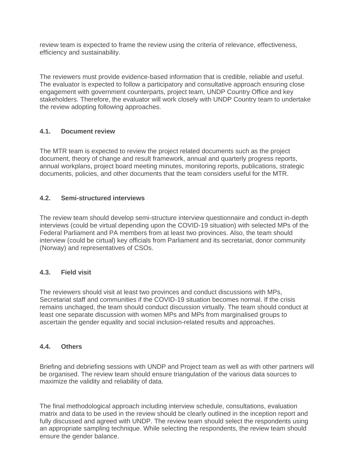review team is expected to frame the review using the criteria of relevance, effectiveness, efficiency and sustainability.

The reviewers must provide evidence-based information that is credible, reliable and useful. The evaluator is expected to follow a participatory and consultative approach ensuring close engagement with government counterparts, project team, UNDP Country Office and key stakeholders. Therefore, the evaluator will work closely with UNDP Country team to undertake the review adopting following approaches.

#### **4.1. Document review**

The MTR team is expected to review the project related documents such as the project document, theory of change and result framework, annual and quarterly progress reports, annual workplans, project board meeting minutes, monitoring reports, publications, strategic documents, policies, and other documents that the team considers useful for the MTR.

### **4.2. Semi-structured interviews**

The review team should develop semi-structure interview questionnaire and conduct in-depth interviews (could be virtual depending upon the COVID-19 situation) with selected MPs of the Federal Parliament and PA members from at least two provinces. Also, the team should interview (could be cirtual) key officials from Parliament and its secretariat, donor community (Norway) and representatives of CSOs.

#### **4.3. Field visit**

The reviewers should visit at least two provinces and conduct discussions with MPs, Secretariat staff and communities if the COVID-19 situation becomes normal. If the crisis remains unchaged, the team should conduct discussion virtually. The team should conduct at least one separate discussion with women MPs and MPs from marginalised groups to ascertain the gender equality and social inclusion-related results and approaches.

#### **4.4. Others**

Briefing and debriefing sessions with UNDP and Project team as well as with other partners will be organised. The review team should ensure triangulation of the various data sources to maximize the validity and reliability of data.

The final methodological approach including interview schedule, consultations, evaluation matrix and data to be used in the review should be clearly outlined in the inception report and fully discussed and agreed with UNDP. The review team should select the respondents using an appropriate sampling technique. While selecting the respondents, the review team should ensure the gender balance.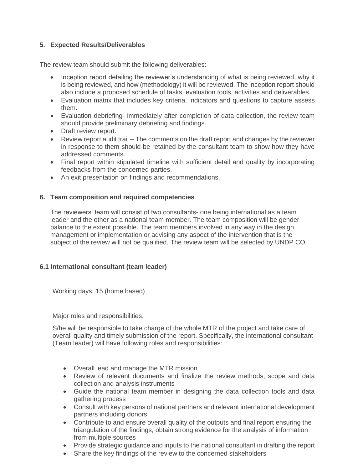## **5. Expected Results/Deliverables**

The review team should submit the following deliverables:

- Inception report detailing the reviewer's understanding of what is being reviewed, why it is being reviewed, and how (methodology) it will be reviewed. The inception report should also include a proposed schedule of tasks, evaluation tools, activities and deliverables.
- Evaluation matrix that includes key criteria, indicators and questions to capture assess them.
- Evaluation debriefing- immediately after completion of data collection, the review team should provide preliminary debriefing and findings.
- Draft review report.
- Review report audit trail The comments on the draft report and changes by the reviewer in response to them should be retained by the consultant team to show how they have addressed comments.
- Final report within stipulated timeline with sufficient detail and quality by incorporating feedbacks from the concerned parties.
- An exit presentation on findings and recommendations.

#### **6. Team composition and required competencies**

The reviewers' team will consist of two consultants- one being international as a team leader and the other as a national team member. The team composition will be gender balance to the extent possible. The team members involved in any way in the design, management or implementation or advising any aspect of the intervention that is the subject of the review will not be qualified. The review team will be selected by UNDP CO.

#### **6.1 International consultant (team leader)**

Working days: 15 (home based)

Major roles and responsibilities:

S/he will be responsible to take charge of the whole MTR of the project and take care of overall quality and timely submission of the report. Specifically, the international consultant (Team leader) will have following roles and responsibilities:

- Overall lead and manage the MTR mission
- Review of relevant documents and finalize the review methods, scope and data collection and analysis instruments
- Guide the national team member in designing the data collection tools and data gathering process
- Consult with key persons of national partners and relevant international development partners including donors
- Contribute to and ensure overall quality of the outputs and final report ensuring the triangulation of the findings, obtain strong evidence for the analysis of information from multiple sources
- Provide strategic guidance and inputs to the national consultant in drafting the report
- Share the key findings of the review to the concerned stakeholders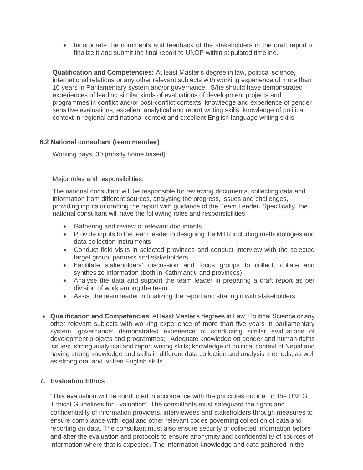• Incorporate the comments and feedback of the stakeholders in the draft report to finalize it and submit the final report to UNDP within stipulated timeline.

**Qualification and Competencies:** At least Master's degree in law, political science, international relations or any other relevant subjects with working experience of more than 10 years in Parliamentary system and/or governance. S/he should have demonstrated experiences of leading similar kinds of evaluations of development projects and programmes in conflict and/or post-conflict contexts; knowledge and experience of gender sensitive evaluations; excellent analytical and report writing skills, knowledge of political context in regional and national context and excellent English language writing skills.

#### **6.2 National consultant (team member)**

Working days: 30 (mostly home based)

Major roles and responsibilities:

The national consultant will be responsible for reviewing documents, collecting data and information from different sources, analysing the progress, issues and challenges, providing inputs in drafting the report with guidance of the Team Leader. Specifically, the national consultant will have the following roles and responsibilities:

- Gathering and review of relevant documents
- Provide inputs to the team leader in designing the MTR including methodologies and data collection instruments
- Conduct field visits in selected provinces and conduct interview with the selected target group, partners and stakeholders
- Facilitate stakeholders' discussion and focus groups to collect, collate and synthesize information (both in Kathmandu and provinces)
- Analyse the data and support the team leader in preparing a draft report as per division of work among the team
- Assist the team leader in finalizing the report and sharing it with stakeholders
- **Qualification and Competencies**: At least Master's degrees in Law, Political Science or any other relevant subjects with working experience of more than five years in parliamentary system, governance; demonstrated experience of conducting similar evaluations of development projects and programmes; Adequate knowledge on gender and human rights issues; strong analytical and report writing skills; knowledge of political context of Nepal and having strong knowledge and skills in different data collection and analysis methods; as well as strong oral and written English skills.

## **7. Evaluation Ethics**

"This evaluation will be conducted in accordance with the principles outlined in the UNEG 'Ethical Guidelines for Evaluation'. The consultants must safeguard the rights and confidentiality of information providers, interviewees and stakeholders through measures to ensure compliance with legal and other relevant codes governing collection of data and reporting on data. The consultant must also ensure security of collected information before and after the evaluation and protocols to ensure anonymity and confidentiality of sources of information where that is expected. The information knowledge and data gathered in the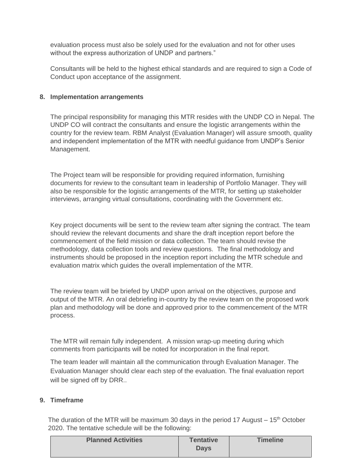evaluation process must also be solely used for the evaluation and not for other uses without the express authorization of UNDP and partners."

Consultants will be held to the highest ethical standards and are required to sign a Code of Conduct upon acceptance of the assignment.

#### **8. Implementation arrangements**

The principal responsibility for managing this MTR resides with the UNDP CO in Nepal. The UNDP CO will contract the consultants and ensure the logistic arrangements within the country for the review team. RBM Analyst (Evaluation Manager) will assure smooth, quality and independent implementation of the MTR with needful guidance from UNDP's Senior Management.

The Project team will be responsible for providing required information, furnishing documents for review to the consultant team in leadership of Portfolio Manager. They will also be responsible for the logistic arrangements of the MTR, for setting up stakeholder interviews, arranging virtual consultations, coordinating with the Government etc.

Key project documents will be sent to the review team after signing the contract. The team should review the relevant documents and share the draft inception report before the commencement of the field mission or data collection. The team should revise the methodology, data collection tools and review questions. The final methodology and instruments should be proposed in the inception report including the MTR schedule and evaluation matrix which guides the overall implementation of the MTR.

The review team will be briefed by UNDP upon arrival on the objectives, purpose and output of the MTR. An oral debriefing in-country by the review team on the proposed work plan and methodology will be done and approved prior to the commencement of the MTR process.

The MTR will remain fully independent. A mission wrap-up meeting during which comments from participants will be noted for incorporation in the final report.

The team leader will maintain all the communication through Evaluation Manager. The Evaluation Manager should clear each step of the evaluation. The final evaluation report will be signed off by DRR..

#### **9. Timeframe**

The duration of the MTR will be maximum 30 days in the period 17 August  $-15<sup>th</sup>$  October 2020. The tentative schedule will be the following:

| <b>Planned Activities</b> | <b>Tentative</b><br><b>Days</b> | <b>Timeline</b> |
|---------------------------|---------------------------------|-----------------|
|                           |                                 |                 |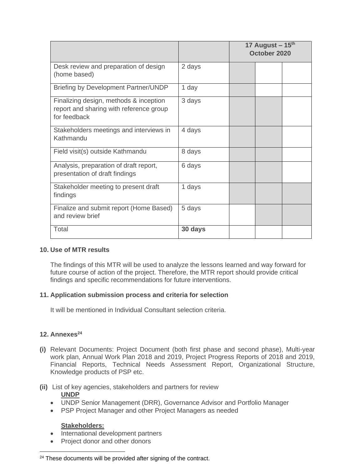|                                                                                                   |         | 17 August $-15$ <sup>th</sup><br>October 2020 |  |  |
|---------------------------------------------------------------------------------------------------|---------|-----------------------------------------------|--|--|
| Desk review and preparation of design<br>(home based)                                             | 2 days  |                                               |  |  |
| Briefing by Development Partner/UNDP                                                              | 1 day   |                                               |  |  |
| Finalizing design, methods & inception<br>report and sharing with reference group<br>for feedback | 3 days  |                                               |  |  |
| Stakeholders meetings and interviews in<br>Kathmandu                                              | 4 days  |                                               |  |  |
| Field visit(s) outside Kathmandu                                                                  | 8 days  |                                               |  |  |
| Analysis, preparation of draft report,<br>presentation of draft findings                          | 6 days  |                                               |  |  |
| Stakeholder meeting to present draft<br>findings                                                  | 1 days  |                                               |  |  |
| Finalize and submit report (Home Based)<br>and review brief                                       | 5 days  |                                               |  |  |
| Total                                                                                             | 30 days |                                               |  |  |

#### **10. Use of MTR results**

The findings of this MTR will be used to analyze the lessons learned and way forward for future course of action of the project. Therefore, the MTR report should provide critical findings and specific recommendations for future interventions.

#### **11. Application submission process and criteria for selection**

It will be mentioned in Individual Consultant selection criteria.

#### **12. Annexes<sup>24</sup>**

**(i)** Relevant Documents: Project Document (both first phase and second phase), Multi-year work plan, Annual Work Plan 2018 and 2019, Project Progress Reports of 2018 and 2019, Financial Reports, Technical Needs Assessment Report, Organizational Structure, Knowledge products of PSP etc.

#### **(ii)** List of key agencies, stakeholders and partners for review **UNDP**

- UNDP Senior Management (DRR), Governance Advisor and Portfolio Manager
- PSP Project Manager and other Project Managers as needed

#### **Stakeholders:**

- International development partners
- Project donor and other donors

<sup>&</sup>lt;sup>24</sup> These documents will be provided after signing of the contract.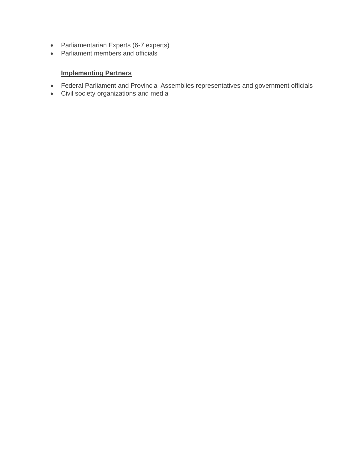- Parliamentarian Experts (6-7 experts)
- Parliament members and officials

## **Implementing Partners**

- Federal Parliament and Provincial Assemblies representatives and government officials
- Civil society organizations and media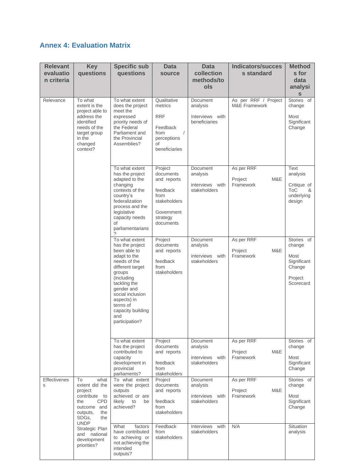# **Annex 4: Evaluation Matrix**

| <b>Relevant</b><br>evaluatio<br>n criteria | <b>Key</b><br>questions                                                                                                                           | <b>Specific sub</b><br>questions                                                                                                                                                                                                                         | <b>Data</b><br>source                                                                                          | <b>Data</b><br>collection<br>methods/to<br>ols                 | <b>Indicators/succes</b><br>s standard           | <b>Method</b><br>s for<br>data<br>analysi<br>S                                |
|--------------------------------------------|---------------------------------------------------------------------------------------------------------------------------------------------------|----------------------------------------------------------------------------------------------------------------------------------------------------------------------------------------------------------------------------------------------------------|----------------------------------------------------------------------------------------------------------------|----------------------------------------------------------------|--------------------------------------------------|-------------------------------------------------------------------------------|
| Relevance                                  | To what<br>extent is the<br>project able to<br>address the<br>identified<br>needs of the<br>target group<br>in the<br>changed<br>context?         | To what extent<br>does the project<br>meet the<br>expressed<br>priority needs of<br>the Federal<br>Parliament and<br>the Provincial<br>Assemblies?                                                                                                       | Qualitative<br>metrics<br><b>RRF</b><br>Feedback<br>$\sqrt{2}$<br>from<br>perceptions<br>οf<br>beneficiaries   | Document<br>analysis<br>Interviews with<br>beneficiaries       | As per RRF / Project<br><b>M&amp;E Framework</b> | Stories of<br>change<br>Most<br>Significant<br>Change                         |
|                                            |                                                                                                                                                   | To what extent<br>has the project<br>adapted to the<br>changing<br>contexts of the<br>country's<br>federalization<br>process and the<br>legislative<br>capacity needs<br>of<br>parliamentarians<br>?                                                     | Project<br>documents<br>and reports<br>feedback<br>from<br>stakeholders<br>Government<br>strategy<br>documents | Document<br>analysis<br>interviews with<br>stakeholders        | As per RRF<br>M&E<br>Project<br>Framework        | Text<br>analysis<br>Critique of<br><b>ToC</b><br>&<br>underlying<br>design    |
|                                            |                                                                                                                                                   | To what extent<br>has the project<br>been able to<br>adapt to the<br>needs of the<br>different target<br>groups<br>(including<br>tackling the<br>gender and<br>social inclusion<br>aspects) in<br>terms of<br>capacity building<br>and<br>participation? | Project<br>documents<br>and reports<br>feedback<br>from<br>stakeholders                                        | Document<br>analysis<br>interviews with<br>stakeholders        | As per RRF<br>M&E<br>Project<br>Framework        | Stories of<br>change<br>Most<br>Significant<br>Change<br>Project<br>Scorecard |
|                                            |                                                                                                                                                   | To what extent<br>has the project<br>contributed to<br>capacity<br>development in<br>provincial<br>parliaments?                                                                                                                                          | Project<br>documents<br>and reports<br>feedback<br>from<br>stakeholders                                        | Document<br>analysis<br>interviews with<br>stakeholders        | As per RRF<br>Project<br>M&E<br>Framework        | Stories of<br>change<br>Most<br>Significant<br>Change                         |
| <b>Effectivenes</b><br>S                   | To<br>what<br>extent did the<br>project<br>contribute<br>to<br><b>CPD</b><br>the<br>outcome and<br>outputs,<br>the<br>SDGs,<br>the<br><b>UNDP</b> | To what extent<br>were the project<br>outputs<br>achieved or are<br>likely<br>to<br>be<br>achieved?                                                                                                                                                      | Project<br>documents<br>and reports<br>feedback<br>from<br>stakeholders                                        | <b>Document</b><br>analysis<br>interviews with<br>stakeholders | As per RRF<br>M&E<br>Project<br>Framework        | Stories of<br>change<br>Most<br>Significant<br>Change                         |
|                                            | Strategic Plan<br>and national<br>development<br>priorities?                                                                                      | What<br>factors<br>have contributed<br>to achieving or<br>not achieving the<br>intended<br>outputs?                                                                                                                                                      | Feedback<br>from<br>stakeholders                                                                               | Interviews with<br>stakeholders                                | N/A                                              | Situation<br>analysis                                                         |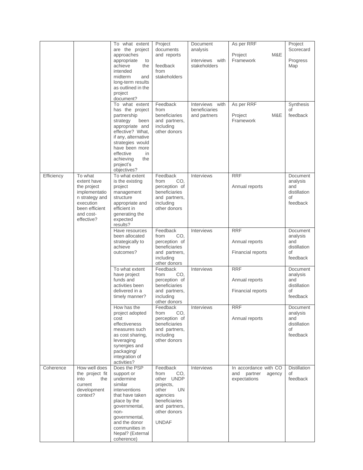|            |                                                                                                                                    | To what extent<br>are the project<br>approaches<br>appropriate<br>to<br>achieve<br>the<br>intended<br>midterm<br>and<br>long-term results<br>as outlined in the<br>project<br>document?<br>To what extent<br>has the project<br>partnership<br>strategy<br>been<br>appropriate and<br>effective? What,<br>if any, alternative<br>strategies would<br>have been more<br>effective<br>in<br>achieving<br>the<br>project's<br>objectives? | Project<br>documents<br>and reports<br>feedback<br>from<br>stakeholders<br>Feedback<br>from<br>beneficiaries<br>and partners,<br>including<br>other donors                                                                                | Document<br>analysis<br>interviews with<br>stakeholders<br>Interviews with<br>beneficiaries<br>and partners | As per RRF<br>Project<br>M&E<br>Framework<br>As per RRF<br>Project<br>M&E<br>Framework   | Project<br>Scorecard<br>Progress<br>Map<br>Synthesis<br>οf<br>feedback                                                         |
|------------|------------------------------------------------------------------------------------------------------------------------------------|----------------------------------------------------------------------------------------------------------------------------------------------------------------------------------------------------------------------------------------------------------------------------------------------------------------------------------------------------------------------------------------------------------------------------------------|-------------------------------------------------------------------------------------------------------------------------------------------------------------------------------------------------------------------------------------------|-------------------------------------------------------------------------------------------------------------|------------------------------------------------------------------------------------------|--------------------------------------------------------------------------------------------------------------------------------|
| Efficiency | To what<br>extent have<br>the project<br>implementatio<br>n strategy and<br>execution<br>been efficient<br>and cost-<br>effective? | To what extent<br>is the existing<br>project<br>management<br>structure<br>appropriate and<br>efficient in<br>generating the<br>expected<br>results?<br>Have resources<br>been allocated<br>strategically to<br>achieve<br>outcomes?                                                                                                                                                                                                   | Feedback<br>CO.<br>from<br>perception of<br>beneficiaries<br>and partners,<br>including<br>other donors<br>Feedback<br>CO,<br>from<br>perception of<br>beneficiaries<br>and partners,<br>including                                        | Interviews<br>Interviews                                                                                    | <b>RRF</b><br>Annual reports<br><b>RRF</b><br>Annual reports<br>Financial reports        | Document<br>analysis<br>and<br>distillation<br>οf<br>feedback<br>Document<br>analysis<br>and<br>distillation<br>οf<br>feedback |
|            |                                                                                                                                    | To what extent<br>have project<br>funds and<br>activities been<br>delivered in a<br>timely manner?<br>How has the<br>project adopted<br>cost<br>effectiveness<br>measures such<br>as cost sharing.<br>leveraging<br>synergies and<br>packaging/<br>integration of<br>activities?                                                                                                                                                       | other donors<br>Feedback<br>CO.<br>from<br>perception of<br>beneficiaries<br>and partners,<br>including<br>other donors<br><b>Feedback</b><br>from<br>CO.<br>perception of<br>beneficiaries<br>and partners,<br>including<br>other donors | Interviews<br>Interviews                                                                                    | <b>RRF</b><br>Annual reports<br><b>Financial reports</b><br><b>RRF</b><br>Annual reports | Document<br>analysis<br>and<br>distillation<br>οf<br>feedback<br>Document<br>analysis<br>and<br>distillation<br>of<br>feedback |
| Coherence  | How well does<br>the project fit<br>into<br>the<br>current<br>development<br>context?                                              | Does the PSP<br>support or<br>undermine<br>similar<br>interventions<br>that have taken<br>place by the<br>governmental,<br>non-<br>governmental,<br>and the donor<br>communities in<br>Nepal? (External<br>coherence)                                                                                                                                                                                                                  | Feedback<br>from<br>CO.<br>other UNDP<br>projects,<br>other<br>UN<br>agencies<br>beneficiaries<br>and partners,<br>other donors<br><b>UNDAF</b>                                                                                           | Interviews                                                                                                  | In accordance with CO<br>and<br>partner<br>agency<br>expectations                        | <b>Distillation</b><br>of<br>feedback                                                                                          |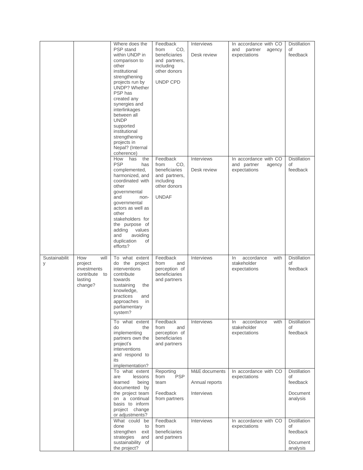|                    |                                                                              | Where does the<br>PSP stand<br>within UNDP in<br>comparison to<br>other<br>institutional<br>strengthening<br>projects run by<br><b>UNDP?</b> Whether<br>PSP has<br>created any<br>synergies and<br>interlinkages<br>between all<br><b>UNDP</b><br>supported<br>institutional<br>strengthening<br>projects in<br>Nepal? (Internal<br>coherence) | Feedback<br>CO.<br>from<br>beneficiaries<br>and partners,<br>including<br>other donors<br>UNDP CPD     | <b>Interviews</b><br>Desk review              | In accordance with CO<br>and<br>partner<br>agency<br>expectations | <b>Distillation</b><br>of<br>feedback                         |
|--------------------|------------------------------------------------------------------------------|------------------------------------------------------------------------------------------------------------------------------------------------------------------------------------------------------------------------------------------------------------------------------------------------------------------------------------------------|--------------------------------------------------------------------------------------------------------|-----------------------------------------------|-------------------------------------------------------------------|---------------------------------------------------------------|
|                    |                                                                              | How<br>the<br>has<br><b>PSP</b><br>has<br>complemented,<br>harmonized, and<br>coordinated with<br>other<br>governmental<br>and<br>non-<br>governmental<br>actors as well as<br>other<br>stakeholders for<br>the purpose of<br>adding<br>values<br>and<br>avoiding<br>duplication<br>οf<br>efforts?                                             | Feedback<br>CO.<br>from<br>beneficiaries<br>and partners,<br>including<br>other donors<br><b>UNDAF</b> | Interviews<br>Desk review                     | In accordance with CO<br>and partner<br>agency<br>expectations    | <b>Distillation</b><br>of<br>feedback                         |
| Sustainabilit<br>У | How<br>will<br>project<br>investments<br>contribute to<br>lasting<br>change? | To what extent<br>do the project<br>interventions<br>contribute<br>towards<br>sustaining<br>the<br>knowledge,<br>practices<br>and<br>in<br>approaches<br>parliamentary<br>system?                                                                                                                                                              | Feedback<br>from<br>and<br>perception of<br>beneficiaries<br>and partners                              | Interviews                                    | accordance<br>with<br>In<br>stakeholder<br>expectations           | <b>Distillation</b><br>of<br>feedback                         |
|                    |                                                                              | To what extent<br>do<br>the<br>implementing<br>partners own the<br>project's<br>interventions<br>and respond to<br>its<br>implementation?                                                                                                                                                                                                      | Feedback<br>from<br>and<br>perception of<br>beneficiaries<br>and partners                              | Interviews                                    | accordance<br>In<br>with<br>stakeholder<br>expectations           | <b>Distillation</b><br>of<br>feedback                         |
|                    |                                                                              | To what extent<br>lessons<br>are<br>learned<br>being<br>documented by<br>the project team<br>on a continual<br>basis to inform<br>project change<br>or adjustments?                                                                                                                                                                            | Reporting<br><b>PSP</b><br>from<br>team<br>Feedback<br>from partners                                   | M&E documents<br>Annual reports<br>Interviews | In accordance with CO<br>expectations                             | <b>Distillation</b><br>of<br>feedback<br>Document<br>analysis |
|                    |                                                                              | What could be<br>done<br>to<br>strengthen<br>exit<br>strategies<br>and<br>sustainability of<br>the project?                                                                                                                                                                                                                                    | Feedback<br>from<br>beneficiaries<br>and partners                                                      | Interviews                                    | In accordance with CO<br>expectations                             | <b>Distillation</b><br>of<br>feedback<br>Document<br>analysis |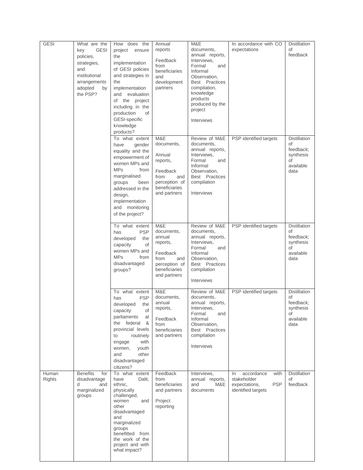| <b>GESI</b>     | What are the<br><b>GESI</b><br>key<br>policies,<br>strategies,<br>and<br>institutional<br>arrangements<br>adopted<br>by<br>the PSP? | How does the<br>project<br>ensure<br>the<br>implementation<br>of GESI policies<br>and strategies in<br>the<br>implementation<br>and evaluation<br>of the project<br>including in the<br>production<br>of<br>GESI-specific<br>knowledge<br>products? | Annual<br>reports<br>Feedback<br>from<br>beneficiaries<br>and<br>development<br>partners                             | M&E<br>documents,<br>annual reports,<br>Interviews,<br>Formal<br>and<br>Informal<br>Observation,<br>Best Practices<br>compilation,<br>knowledge<br>products<br>produced by the<br>project<br>Interviews | In accordance with CO<br>expectations                                                         | <b>Distillation</b><br>of<br>feedback                                          |
|-----------------|-------------------------------------------------------------------------------------------------------------------------------------|-----------------------------------------------------------------------------------------------------------------------------------------------------------------------------------------------------------------------------------------------------|----------------------------------------------------------------------------------------------------------------------|---------------------------------------------------------------------------------------------------------------------------------------------------------------------------------------------------------|-----------------------------------------------------------------------------------------------|--------------------------------------------------------------------------------|
|                 |                                                                                                                                     | To what extent<br>have<br>gender<br>equality and the<br>empowerment of<br>women MPs and<br><b>MPs</b><br>from<br>marginalised<br>groups<br>been<br>addressed in the<br>design,<br>implementation<br>and monitoring<br>of the project?               | M&E<br>documents,<br>Annual<br>reports,<br>Feedback<br>from<br>and<br>perception of<br>beneficiaries<br>and partners | Review of M&E<br>documents,<br>annual reports,<br>Interviews,<br>Formal<br>and<br>Informal<br>Observation,<br>Best Practices<br>compilation<br>Interviews                                               | PSP identified targets                                                                        | <b>Distillation</b><br>of<br>feedback;<br>synthesis<br>οf<br>available<br>data |
|                 |                                                                                                                                     | $\overline{To}$ what extent<br><b>PSP</b><br>has<br>developed<br>the<br>capacity<br>of<br>women MPs and<br><b>MPs</b><br>from<br>disadvantaged<br>groups?                                                                                           | M&E<br>documents,<br>annual<br>reports,<br>Feedback<br>from<br>and<br>perception of<br>beneficiaries<br>and partners | Review of M&E<br>documents,<br>annual reports,<br>Interviews,<br>Formal<br>and<br>Informal<br>Observation,<br>Best Practices<br>compilation<br>Interviews                                               | PSP identified targets                                                                        | <b>Distillation</b><br>of<br>feedback;<br>synthesis<br>of<br>available<br>data |
|                 |                                                                                                                                     | To what extent<br><b>PSP</b><br>has<br>the<br>developed<br>capacity<br>of<br>parliaments<br>at<br>the federal<br>&<br>provincial levels<br>to<br>routinely<br>with<br>engage<br>women,<br>youth<br>other<br>and<br>disadvantaged<br>citizens?       | M&E<br>documents,<br>annual<br>reports,<br>Feedback<br>from<br>beneficiaries<br>and partners                         | Review of M&E<br>documents,<br>annual reports,<br>Interviews,<br>Formal<br>and<br>Informal<br>Observation.<br>Best Practices<br>compilation<br>Interviews                                               | PSP identified targets                                                                        | <b>Distillation</b><br>οf<br>feedback;<br>synthesis<br>of<br>available<br>data |
| Human<br>Rights | <b>Benefits</b><br>for<br>disadvantage<br>d<br>and<br>marginalized<br>groups                                                        | To what extent<br>have<br>Dalit,<br>ethnic,<br>physically<br>challenged,<br>women<br>and<br>other<br>disadvantaged<br>and<br>marginalized<br>groups<br>benefitted from<br>the work of the<br>project and with<br>what impact?                       | Feedback<br>from<br>beneficiaries<br>and partners<br>Project<br>reporting                                            | Interviews,<br>annual reports,<br>M&E<br>and<br>documents                                                                                                                                               | accordance<br>with<br>In.<br>stakeholder<br><b>PSP</b><br>expectations,<br>identified targets | <b>Distillation</b><br>of<br>feedback                                          |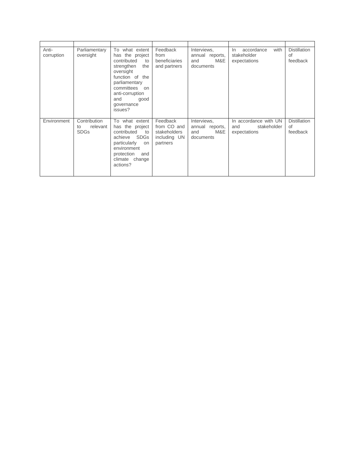| Anti-<br>corruption | Parliamentary<br>oversight                    | To what extent<br>has the project<br>contributed<br>to<br>strengthen<br>the<br>oversight<br>function of the<br>parliamentary<br>committees on<br>anti-corruption<br>and<br>good<br>governance<br>issues? | Feedback<br>from<br>beneficiaries<br>and partners                   | Interviews,<br>annual reports,<br>M&E<br>and<br>documents | with<br>accordance<br>In<br>stakeholder<br>expectations     | <b>Distillation</b><br>of<br>feedback |
|---------------------|-----------------------------------------------|----------------------------------------------------------------------------------------------------------------------------------------------------------------------------------------------------------|---------------------------------------------------------------------|-----------------------------------------------------------|-------------------------------------------------------------|---------------------------------------|
| Environment         | Contribution<br>relevant<br>to<br><b>SDGs</b> | To what extent<br>has the project<br>contributed<br>to<br>achieve SDGs<br>particularly<br>on<br>environment<br>protection<br>and<br>climate change<br>actions?                                           | Feedback<br>from CO and<br>stakeholders<br>including UN<br>partners | Interviews,<br>annual reports,<br>M&E<br>and<br>documents | In accordance with UN<br>and<br>stakeholder<br>expectations | <b>Distillation</b><br>of<br>feedback |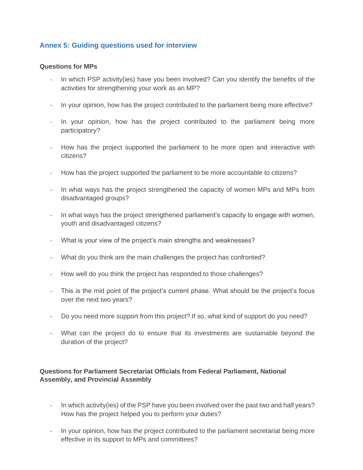## **Annex 5: Guiding questions used for interview**

#### **Questions for MPs**

- In which PSP activity(ies) have you been involved? Can you identify the benefits of the activities for strengthening your work as an MP?
- In your opinion, how has the project contributed to the parliament being more effective?
- In your opinion, how has the project contributed to the parliament being more participatory?
- How has the project supported the parliament to be more open and interactive with citizens?
- How has the project supported the parliament to be more accountable to citizens?
- In what ways has the project strengthened the capacity of women MPs and MPs from disadvantaged groups?
- In what ways has the project strengthened parliament's capacity to engage with women, youth and disadvantaged citizens?
- What is your view of the project's main strengths and weaknesses?
- What do you think are the main challenges the project has confronted?
- How well do you think the project has responded to those challenges?
- This is the mid point of the project's current phase. What should be the project's focus over the next two years?
- Do you need more support from this project? If so, what kind of support do you need?
- What can the project do to ensure that its investments are sustainable beyond the duration of the project?

## **Questions for Parliament Secretariat Officials from Federal Parliament, National Assembly, and Provincial Assembly**

- In which activity(ies) of the PSP have you been involved over the past two and half years? How has the project helped you to perform your duties?
- In your opinion, how has the project contributed to the parliament secretariat being more effective in its support to MPs and committees?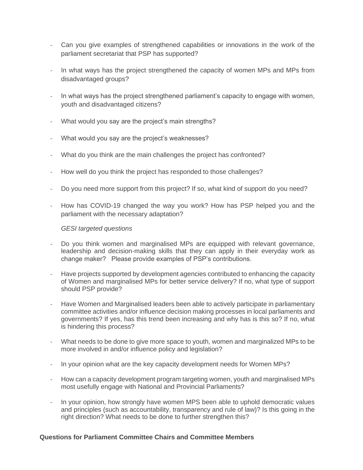- Can you give examples of strengthened capabilities or innovations in the work of the parliament secretariat that PSP has supported?
- In what ways has the project strengthened the capacity of women MPs and MPs from disadvantaged groups?
- In what ways has the project strengthened parliament's capacity to engage with women, youth and disadvantaged citizens?
- What would you say are the project's main strengths?
- What would you say are the project's weaknesses?
- What do you think are the main challenges the project has confronted?
- How well do you think the project has responded to those challenges?
- Do you need more support from this project? If so, what kind of support do you need?
- How has COVID-19 changed the way you work? How has PSP helped you and the parliament with the necessary adaptation?

- Do you think women and marginalised MPs are equipped with relevant governance, leadership and decision-making skills that they can apply in their everyday work as change maker? Please provide examples of PSP's contributions.
- Have projects supported by development agencies contributed to enhancing the capacity of Women and marginalised MPs for better service delivery? If no, what type of support should PSP provide?
- Have Women and Marginalised leaders been able to actively participate in parliamentary committee activities and/or influence decision making processes in local parliaments and governments? If yes, has this trend been increasing and why has is this so? If no, what is hindering this process?
- What needs to be done to give more space to youth, women and marginalized MPs to be more involved in and/or influence policy and legislation?
- In your opinion what are the key capacity development needs for Women MPs?
- How can a capacity development program targeting women, youth and marginalised MPs most usefully engage with National and Provincial Parliaments?
- In your opinion, how strongly have women MPS been able to uphold democratic values and principles (such as accountability, transparency and rule of law)? Is this going in the right direction? What needs to be done to further strengthen this?

#### **Questions for Parliament Committee Chairs and Committee Members**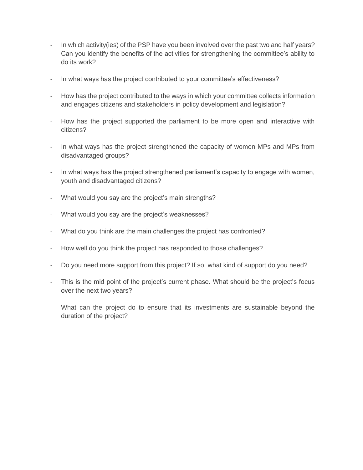- In which activity(ies) of the PSP have you been involved over the past two and half years? Can you identify the benefits of the activities for strengthening the committee's ability to do its work?
- In what ways has the project contributed to your committee's effectiveness?
- How has the project contributed to the ways in which your committee collects information and engages citizens and stakeholders in policy development and legislation?
- How has the project supported the parliament to be more open and interactive with citizens?
- In what ways has the project strengthened the capacity of women MPs and MPs from disadvantaged groups?
- In what ways has the project strengthened parliament's capacity to engage with women, youth and disadvantaged citizens?
- What would you say are the project's main strengths?
- What would you say are the project's weaknesses?
- What do you think are the main challenges the project has confronted?
- How well do you think the project has responded to those challenges?
- Do you need more support from this project? If so, what kind of support do you need?
- This is the mid point of the project's current phase. What should be the project's focus over the next two years?
- What can the project do to ensure that its investments are sustainable beyond the duration of the project?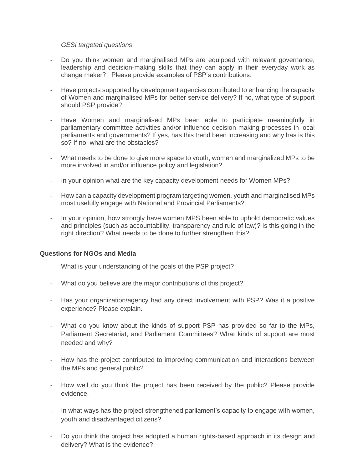- Do you think women and marginalised MPs are equipped with relevant governance, leadership and decision-making skills that they can apply in their everyday work as change maker? Please provide examples of PSP's contributions.
- Have projects supported by development agencies contributed to enhancing the capacity of Women and marginalised MPs for better service delivery? If no, what type of support should PSP provide?
- Have Women and marginalised MPs been able to participate meaningfully in parliamentary committee activities and/or influence decision making processes in local parliaments and governments? If yes, has this trend been increasing and why has is this so? If no, what are the obstacles?
- What needs to be done to give more space to youth, women and marginalized MPs to be more involved in and/or influence policy and legislation?
- In your opinion what are the key capacity development needs for Women MPs?
- How can a capacity development program targeting women, youth and marginalised MPs most usefully engage with National and Provincial Parliaments?
- In your opinion, how strongly have women MPS been able to uphold democratic values and principles (such as accountability, transparency and rule of law)? Is this going in the right direction? What needs to be done to further strengthen this?

#### **Questions for NGOs and Media**

- What is your understanding of the goals of the PSP project?
- What do you believe are the major contributions of this project?
- Has your organization/agency had any direct involvement with PSP? Was it a positive experience? Please explain.
- What do you know about the kinds of support PSP has provided so far to the MPs, Parliament Secretariat, and Parliament Committees? What kinds of support are most needed and why?
- How has the project contributed to improving communication and interactions between the MPs and general public?
- How well do you think the project has been received by the public? Please provide evidence.
- In what ways has the project strengthened parliament's capacity to engage with women, youth and disadvantaged citizens?
- Do you think the project has adopted a human rights-based approach in its design and delivery? What is the evidence?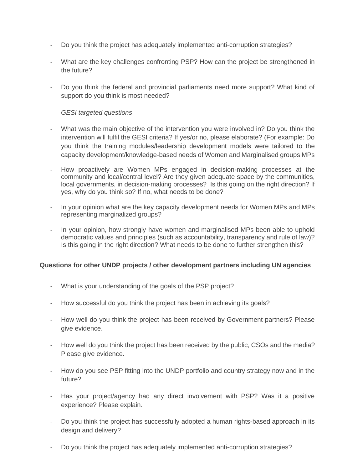- Do you think the project has adequately implemented anti-corruption strategies?
- What are the key challenges confronting PSP? How can the project be strengthened in the future?
- Do you think the federal and provincial parliaments need more support? What kind of support do you think is most needed?

- What was the main objective of the intervention you were involved in? Do you think the intervention will fulfil the GESI criteria? If yes/or no, please elaborate? (For example: Do you think the training modules/leadership development models were tailored to the capacity development/knowledge-based needs of Women and Marginalised groups MPs
- How proactively are Women MPs engaged in decision-making processes at the community and local/central level? Are they given adequate space by the communities, local governments, in decision-making processes? Is this going on the right direction? If yes, why do you think so? If no, what needs to be done?
- In your opinion what are the key capacity development needs for Women MPs and MPs representing marginalized groups?
- In your opinion, how strongly have women and marginalised MPs been able to uphold democratic values and principles (such as accountability, transparency and rule of law)? Is this going in the right direction? What needs to be done to further strengthen this?

## **Questions for other UNDP projects / other development partners including UN agencies**

- What is your understanding of the goals of the PSP project?
- How successful do you think the project has been in achieving its goals?
- How well do you think the project has been received by Government partners? Please give evidence.
- How well do you think the project has been received by the public, CSOs and the media? Please give evidence.
- How do you see PSP fitting into the UNDP portfolio and country strategy now and in the future?
- Has your project/agency had any direct involvement with PSP? Was it a positive experience? Please explain.
- Do you think the project has successfully adopted a human rights-based approach in its design and delivery?
- Do you think the project has adequately implemented anti-corruption strategies?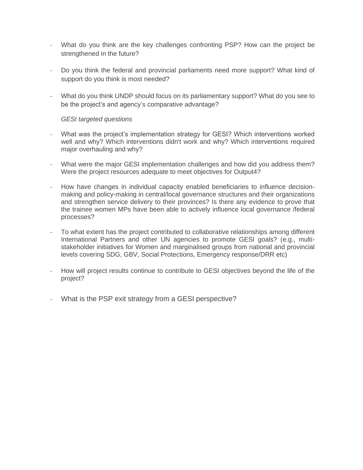- What do you think are the key challenges confronting PSP? How can the project be strengthened in the future?
- Do you think the federal and provincial parliaments need more support? What kind of support do you think is most needed?
- What do you think UNDP should focus on its parliamentary support? What do you see to be the project's and agency's comparative advantage?

- What was the project's implementation strategy for GESI? Which interventions worked well and why? Which interventions didn't work and why? Which interventions required major overhauling and why?
- What were the major GESI implementation challenges and how did you address them? Were the project resources adequate to meet objectives for Output4?
- How have changes in individual capacity enabled beneficiaries to influence decisionmaking and policy-making in central/local governance structures and their organizations and strengthen service delivery to their provinces? Is there any evidence to prove that the trainee women MPs have been able to actively influence local governance /federal processes?
- To what extent has the project contributed to collaborative relationships among different International Partners and other UN agencies to promote GESI goals? (e.g., multistakeholder initiatives for Women and marginalised groups from national and provincial levels covering SDG, GBV, Social Protections, Emergency response/DRR etc)
- How will project results continue to contribute to GESI objectives beyond the life of the project?
- What is the PSP exit strategy from a GESI perspective?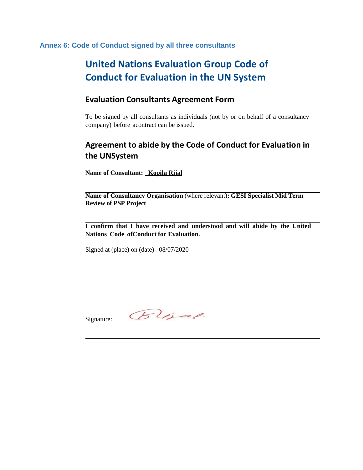**Annex 6: Code of Conduct signed by all three consultants**

# **United Nations Evaluation Group Code of Conduct for Evaluation in the UN System**

## **Evaluation Consultants Agreement Form**

To be signed by all consultants as individuals (not by or on behalf of a consultancy company) before acontract can be issued.

## **Agreement to abide by the Code of Conduct for Evaluation in the UNSystem**

**Name of Consultant: Kopila Rijal**

**Name of Consultancy Organisation** (where relevant)**: GESI Specialist Mid Term Review of PSP Project**

**I confirm that I have received and understood and will abide by the United Nations Code ofConduct for Evaluation.**

Signed at (place) on (date) 08/07/2020

Signature:  $Blid$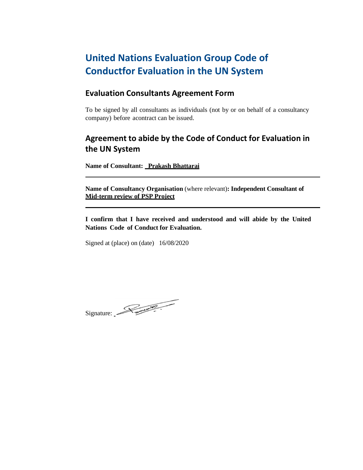# **United Nations Evaluation Group Code of Conductfor Evaluation in the UN System**

## **Evaluation Consultants Agreement Form**

To be signed by all consultants as individuals (not by or on behalf of a consultancy company) before acontract can be issued.

## **Agreement to abide by the Code of Conduct for Evaluation in the UN System**

**Name of Consultant: Prakash Bhattarai**

**Name of Consultancy Organisation** (where relevant)**: Independent Consultant of Mid-term review of PSP Project**

**I confirm that I have received and understood and will abide by the United Nations Code of Conduct for Evaluation.**

Signed at (place) on (date) 16/08/2020

Signature: